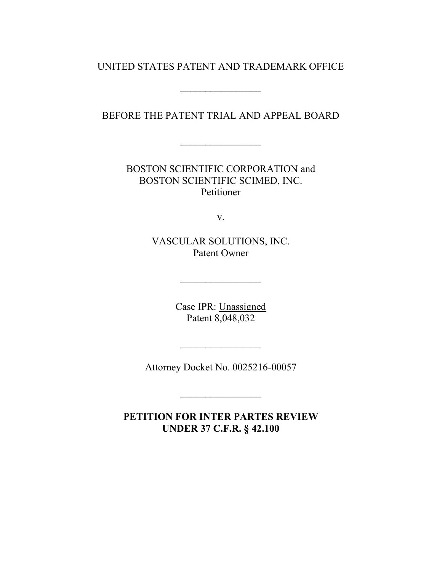UNITED STATES PATENT AND TRADEMARK OFFICE

 $\frac{1}{2}$ 

BEFORE THE PATENT TRIAL AND APPEAL BOARD

 $\mathcal{L}_\text{max}$ 

BOSTON SCIENTIFIC CORPORATION and BOSTON SCIENTIFIC SCIMED, INC. Petitioner

v.

VASCULAR SOLUTIONS, INC. Patent Owner

> Case IPR: Unassigned Patent 8,048,032

Attorney Docket No. 0025216-00057

 $\frac{1}{2}$ 

 $\frac{1}{2}$ 

**PETITION FOR INTER PARTES REVIEW UNDER 37 C.F.R. § 42.100**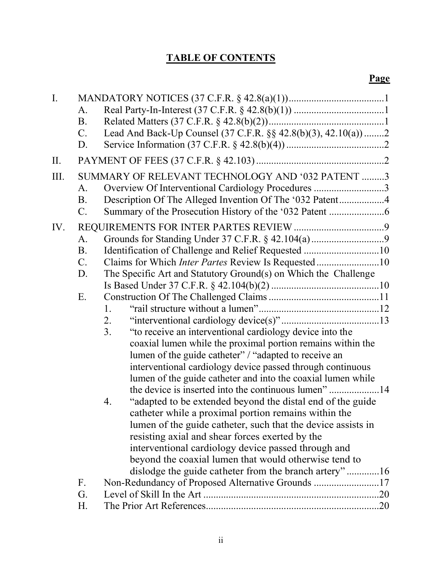# **TABLE OF CONTENTS**

| $\mathbf{I}$ . |                 |                                                                            |  |
|----------------|-----------------|----------------------------------------------------------------------------|--|
|                | A.              |                                                                            |  |
|                | B <sub>1</sub>  |                                                                            |  |
|                | $\mathcal{C}$ . | Lead And Back-Up Counsel (37 C.F.R. §§ 42.8(b)(3), 42.10(a))2              |  |
|                | D.              |                                                                            |  |
| II.            |                 |                                                                            |  |
| Ш.             |                 | SUMMARY OF RELEVANT TECHNOLOGY AND '032 PATENT 3                           |  |
|                | A.              | Overview Of Interventional Cardiology Procedures 3                         |  |
|                | <b>B.</b>       |                                                                            |  |
|                | $\mathcal{C}$ . |                                                                            |  |
| IV.            |                 |                                                                            |  |
|                | A.              |                                                                            |  |
|                | <b>B.</b>       |                                                                            |  |
|                | $\mathcal{C}$ . | Claims for Which <i>Inter Partes</i> Review Is Requested10                 |  |
|                | D.              | The Specific Art and Statutory Ground(s) on Which the Challenge            |  |
|                |                 |                                                                            |  |
|                | Ε.              |                                                                            |  |
|                |                 | 1.                                                                         |  |
|                |                 | 2.                                                                         |  |
|                |                 | 3 <sub>1</sub><br>"to receive an interventional cardiology device into the |  |
|                |                 | coaxial lumen while the proximal portion remains within the                |  |
|                |                 | lumen of the guide catheter" / "adapted to receive an                      |  |
|                |                 | interventional cardiology device passed through continuous                 |  |
|                |                 | lumen of the guide catheter and into the coaxial lumen while               |  |
|                |                 |                                                                            |  |
|                |                 | "adapted to be extended beyond the distal end of the guide<br>4.           |  |
|                |                 | catheter while a proximal portion remains within the                       |  |
|                |                 | lumen of the guide catheter, such that the device assists in               |  |
|                |                 | resisting axial and shear forces exerted by the                            |  |
|                |                 | interventional cardiology device passed through and                        |  |
|                |                 | beyond the coaxial lumen that would otherwise tend to                      |  |
|                |                 | dislodge the guide catheter from the branch artery"16                      |  |
|                | F.              | Non-Redundancy of Proposed Alternative Grounds 17                          |  |
|                | G.              |                                                                            |  |
|                | Η.              |                                                                            |  |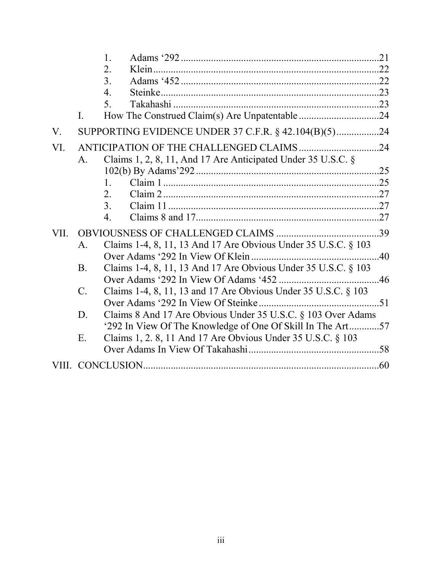|             |                 | $\mathbf{1}$ .                                                  |     |
|-------------|-----------------|-----------------------------------------------------------------|-----|
|             |                 | $\overline{2}$ .                                                |     |
|             |                 | 3 <sub>1</sub>                                                  |     |
|             |                 | 4.                                                              |     |
|             |                 | 5.                                                              |     |
|             | $\mathbf{I}$ .  |                                                                 |     |
| $V_{\cdot}$ |                 | SUPPORTING EVIDENCE UNDER 37 C.F.R. § 42.104(B)(5)24            |     |
| VI.         |                 |                                                                 |     |
|             | $A_{\cdot}$     | Claims 1, 2, 8, 11, And 17 Are Anticipated Under 35 U.S.C. $\S$ |     |
|             |                 |                                                                 | .25 |
|             |                 | $1_{-}$                                                         |     |
|             |                 | $\overline{2}$ .                                                |     |
|             |                 | 3 <sub>1</sub>                                                  |     |
|             |                 | $\overline{4}$ .                                                |     |
| VII.        |                 |                                                                 |     |
|             | $\mathsf{A}$ .  | Claims 1-4, 8, 11, 13 And 17 Are Obvious Under 35 U.S.C. § 103  |     |
|             |                 |                                                                 |     |
|             | <b>B.</b>       | Claims 1-4, 8, 11, 13 And 17 Are Obvious Under 35 U.S.C. § 103  |     |
|             |                 |                                                                 |     |
|             | $\mathcal{C}$ . | Claims 1-4, 8, 11, 13 and 17 Are Obvious Under 35 U.S.C. § 103  |     |
|             |                 |                                                                 |     |
|             | D.              | Claims 8 And 17 Are Obvious Under 35 U.S.C. § 103 Over Adams    |     |
|             |                 | '292 In View Of The Knowledge of One Of Skill In The Art57      |     |
|             | E.              | Claims 1, 2.8, 11 And 17 Are Obvious Under 35 U.S.C. § 103      |     |
|             |                 |                                                                 |     |
|             |                 |                                                                 |     |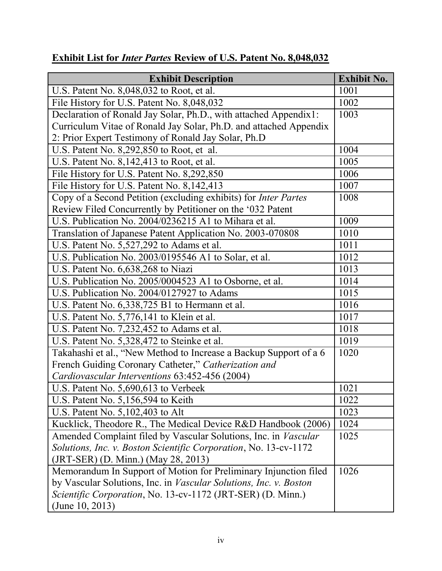| <b>Exhibit Description</b>                                             | <b>Exhibit No.</b> |
|------------------------------------------------------------------------|--------------------|
| U.S. Patent No. 8,048,032 to Root, et al.                              | 1001               |
| File History for U.S. Patent No. 8,048,032                             | 1002               |
| Declaration of Ronald Jay Solar, Ph.D., with attached Appendix1:       | 1003               |
| Curriculum Vitae of Ronald Jay Solar, Ph.D. and attached Appendix      |                    |
| 2: Prior Expert Testimony of Ronald Jay Solar, Ph.D                    |                    |
| U.S. Patent No. 8,292,850 to Root, et al.                              | 1004               |
| U.S. Patent No. 8,142,413 to Root, et al.                              | 1005               |
| File History for U.S. Patent No. 8,292,850                             | 1006               |
| File History for U.S. Patent No. 8,142,413                             | 1007               |
| Copy of a Second Petition (excluding exhibits) for <i>Inter Partes</i> | 1008               |
| Review Filed Concurrently by Petitioner on the '032 Patent             |                    |
| U.S. Publication No. 2004/0236215 A1 to Mihara et al.                  | 1009               |
| Translation of Japanese Patent Application No. 2003-070808             | 1010               |
| U.S. Patent No. 5,527,292 to Adams et al.                              | 1011               |
| U.S. Publication No. 2003/0195546 A1 to Solar, et al.                  | 1012               |
| U.S. Patent No. 6,638,268 to Niazi                                     | 1013               |
| U.S. Publication No. 2005/0004523 A1 to Osborne, et al.                | 1014               |
| U.S. Publication No. 2004/0127927 to Adams                             | 1015               |
| U.S. Patent No. 6,338,725 B1 to Hermann et al.                         | 1016               |
| U.S. Patent No. 5,776,141 to Klein et al.                              | 1017               |
| U.S. Patent No. 7,232,452 to Adams et al.                              | 1018               |
| U.S. Patent No. 5,328,472 to Steinke et al.                            | 1019               |
| Takahashi et al., "New Method to Increase a Backup Support of a 6      | 1020               |
| French Guiding Coronary Catheter," Catherization and                   |                    |
| Cardiovascular Interventions 63:452-456 (2004)                         |                    |
| U.S. Patent No. 5,690,613 to Verbeek                                   | 1021               |
| U.S. Patent No. $5,156,594$ to Keith                                   | 1022               |
| U.S. Patent No. 5,102,403 to Alt                                       | 1023               |
| Kucklick, Theodore R., The Medical Device R&D Handbook (2006)          | 1024               |
| Amended Complaint filed by Vascular Solutions, Inc. in Vascular        | 1025               |
| Solutions, Inc. v. Boston Scientific Corporation, No. 13-cv-1172       |                    |
| (JRT-SER) (D. Minn.) (May 28, 2013)                                    |                    |
| Memorandum In Support of Motion for Preliminary Injunction filed       | 1026               |
| by Vascular Solutions, Inc. in Vascular Solutions, Inc. v. Boston      |                    |
| Scientific Corporation, No. 13-cv-1172 (JRT-SER) (D. Minn.)            |                    |
| (June $10, 2013$ )                                                     |                    |

# **Exhibit List for** *Inter Partes* **Review of U.S. Patent No. 8,048,032**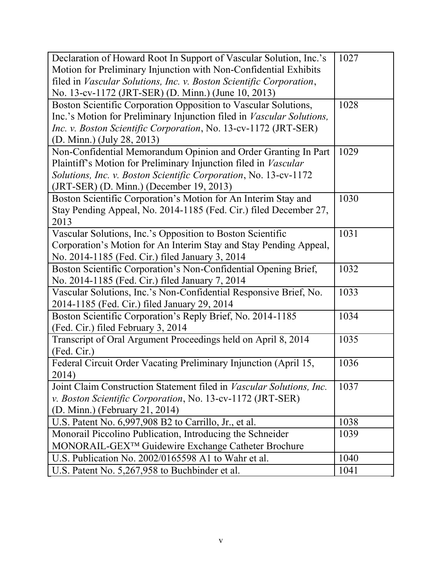| Declaration of Howard Root In Support of Vascular Solution, Inc.'s            | 1027 |
|-------------------------------------------------------------------------------|------|
| Motion for Preliminary Injunction with Non-Confidential Exhibits              |      |
| filed in Vascular Solutions, Inc. v. Boston Scientific Corporation,           |      |
| No. 13-cv-1172 (JRT-SER) (D. Minn.) (June 10, 2013)                           |      |
| Boston Scientific Corporation Opposition to Vascular Solutions,               | 1028 |
| Inc.'s Motion for Preliminary Injunction filed in <i>Vascular Solutions</i> , |      |
| Inc. v. Boston Scientific Corporation, No. 13-cv-1172 (JRT-SER)               |      |
| (D. Minn.) (July 28, 2013)                                                    |      |
| Non-Confidential Memorandum Opinion and Order Granting In Part                | 1029 |
| Plaintiff's Motion for Preliminary Injunction filed in Vascular               |      |
| Solutions, Inc. v. Boston Scientific Corporation, No. 13-cv-1172              |      |
| (JRT-SER) (D. Minn.) (December 19, 2013)                                      |      |
| Boston Scientific Corporation's Motion for An Interim Stay and                | 1030 |
| Stay Pending Appeal, No. 2014-1185 (Fed. Cir.) filed December 27,             |      |
| 2013                                                                          |      |
| Vascular Solutions, Inc.'s Opposition to Boston Scientific                    | 1031 |
| Corporation's Motion for An Interim Stay and Stay Pending Appeal,             |      |
| No. 2014-1185 (Fed. Cir.) filed January 3, 2014                               |      |
| Boston Scientific Corporation's Non-Confidential Opening Brief,               | 1032 |
| No. 2014-1185 (Fed. Cir.) filed January 7, 2014                               |      |
| Vascular Solutions, Inc.'s Non-Confidential Responsive Brief, No.             | 1033 |
| 2014-1185 (Fed. Cir.) filed January 29, 2014                                  |      |
| Boston Scientific Corporation's Reply Brief, No. 2014-1185                    | 1034 |
| (Fed. Cir.) filed February 3, 2014                                            |      |
| Transcript of Oral Argument Proceedings held on April 8, 2014                 | 1035 |
| (Fed. Cir.)                                                                   |      |
| Federal Circuit Order Vacating Preliminary Injunction (April 15,              | 1036 |
| 2014)                                                                         |      |
| Joint Claim Construction Statement filed in Vascular Solutions, Inc.          | 1037 |
| v. Boston Scientific Corporation, No. 13-cv-1172 (JRT-SER)                    |      |
| (D. Minn.) (February 21, 2014)                                                |      |
| U.S. Patent No. 6,997,908 B2 to Carrillo, Jr., et al.                         | 1038 |
| Monorail Piccolino Publication, Introducing the Schneider                     | 1039 |
| MONORAIL-GEX <sup>TM</sup> Guidewire Exchange Catheter Brochure               |      |
|                                                                               |      |
| U.S. Publication No. 2002/0165598 A1 to Wahr et al.                           | 1040 |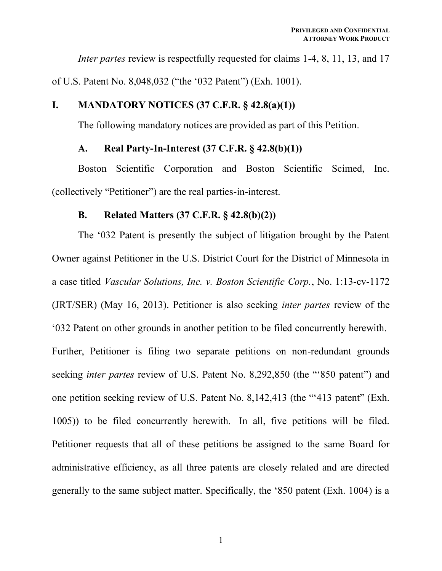*Inter partes* review is respectfully requested for claims 1-4, 8, 11, 13, and 17 of U.S. Patent No. 8,048,032 ("the '032 Patent") (Exh. 1001).

# 7& **MANDATORY NOTICES (37 C.F.R. § 42.8(a)(1))**

The following mandatory notices are provided as part of this Petition.

### /& **Real Party-In-Interest (37 C.F.R. § 42.8(b)(1))**

Boston Scientific Corporation and Boston Scientific Scimed, Inc. (collectively "Petitioner") are the real parties-in-interest.

### 0& **Related Matters (37 C.F.R. § 42.8(b)(2))**

The '032 Patent is presently the subject of litigation brought by the Patent Owner against Petitioner in the U.S. District Court for the District of Minnesota in a case titled *Vascular Solutions, Inc. v. Boston Scientific Corp.*, No. 1:13-cv-1172 (JRT/SER) (May 16, 2013). Petitioner is also seeking *inter partes* review of the "032 Patent on other grounds in another petition to be filed concurrently herewith. Further, Petitioner is filing two separate petitions on non-redundant grounds seeking *inter partes* review of U.S. Patent No. 8,292,850 (the "850 patent") and one petition seeking review of U.S. Patent No. 8,  $142,413$  (the "413 patent" (Exh. 1005)) to be filed concurrently herewith. In all, five petitions will be filed. Petitioner requests that all of these petitions be assigned to the same Board for administrative efficiency, as all three patents are closely related and are directed generally to the same subject matter. Specifically, the '850 patent (Exh. 1004) is a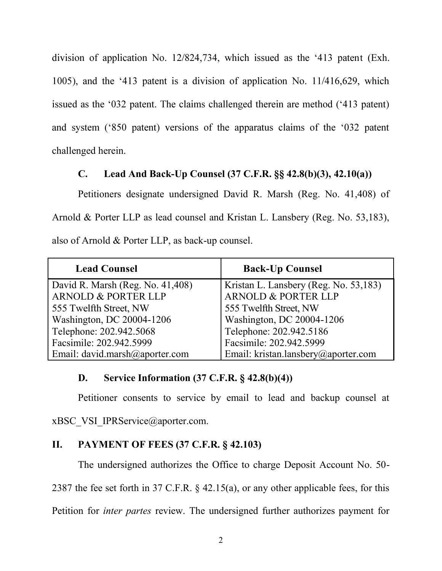division of application No. 12/824,734, which issued as the '413 patent (Exh.  $1005$ ), and the '413 patent is a division of application No.  $11/416,629$ , which issued as the '032 patent. The claims challenged therein are method  $('413$  patent) and system ('850 patent) versions of the apparatus claims of the '032 patent challenged herein.

# **C.** Lead And Back-Up Counsel  $(37 \text{ C.F.R.} \$ §§  $42.8(b)(3), 42.10(a))$

Petitioners designate undersigned David R. Marsh (Reg. No. 41,408) of Arnold & Porter LLP as lead counsel and Kristan L. Lansbery (Reg. No. 53,183), also of Arnold & Porter LLP, as back-up counsel.

| <b>Lead Counsel</b>              | <b>Back-Up Counsel</b>                |
|----------------------------------|---------------------------------------|
| David R. Marsh (Reg. No. 41,408) | Kristan L. Lansbery (Reg. No. 53,183) |
| <b>ARNOLD &amp; PORTER LLP</b>   | ARNOLD & PORTER LLP                   |
| 555 Twelfth Street, NW           | 555 Twelfth Street, NW                |
| Washington, DC 20004-1206        | Washington, DC 20004-1206             |
| Telephone: 202.942.5068          | Telephone: 202.942.5186               |
| Facsimile: 202.942.5999          | Facsimile: 202.942.5999               |
| Email: david.marsh@aporter.com   | Email: kristan.lansbery@aporter.com   |

# 2& **Service Information (37 C.F.R. § 42.8(b)(4))**

Petitioner consents to service by email to lead and backup counsel at

xBSC\_VSI\_IPRService@aporter.com.

# $II.$  PAYMENT OF FEES (37 C.F.R.  $§$  42.103)

The undersigned authorizes the Office to charge Deposit Account No. 50-

2387 the fee set forth in 37 C.F.R. § 42.15(a), or any other applicable fees, for this

Petition for *inter partes* review. The undersigned further authorizes payment for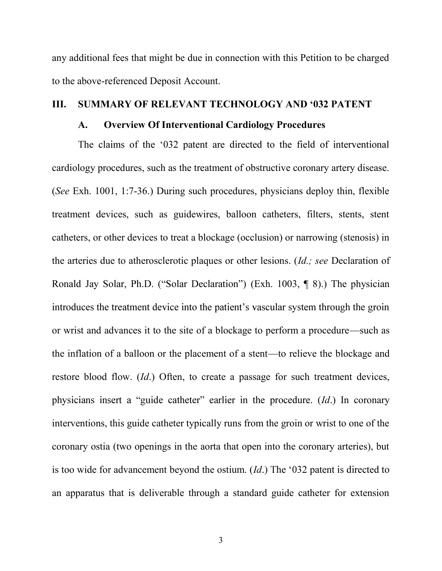any additional fees that might be due in connection with this Petition to be charged to the above-referenced Deposit Account.

#### **III. SUMMARY OF RELEVANT TECHNOLOGY AND '032 PATENT**

#### /& **Overview Of Interventional Cardiology Procedures**

The claims of the '032 patent are directed to the field of interventional cardiology procedures, such as the treatment of obstructive coronary artery disease. (*See* Exh. 1001, 1:7-36.) During such procedures, physicians deploy thin, flexible treatment devices, such as guidewires, balloon catheters, filters, stents, stent catheters, or other devices to treat a blockage (occlusion) or narrowing (stenosis) in the arteries due to atherosclerotic plaques or other lesions. (*Id.; see* Declaration of Ronald Jay Solar, Ph.D. ("Solar Declaration") (Exh. 1003,  $\P$  8).) The physician introduces the treatment device into the patient's vascular system through the groin or wrist and advances it to the site of a blockage to perform a procedure—such as the inflation of a balloon or the placement of a stent—to relieve the blockage and restore blood flow. (*Id*.) Often, to create a passage for such treatment devices, physicians insert a "guide catheter" earlier in the procedure. (*Id*.) In coronary interventions, this guide catheter typically runs from the groin or wrist to one of the coronary ostia (two openings in the aorta that open into the coronary arteries), but is too wide for advancement beyond the ostium.  $(Id.)$  The '032 patent is directed to an apparatus that is deliverable through a standard guide catheter for extension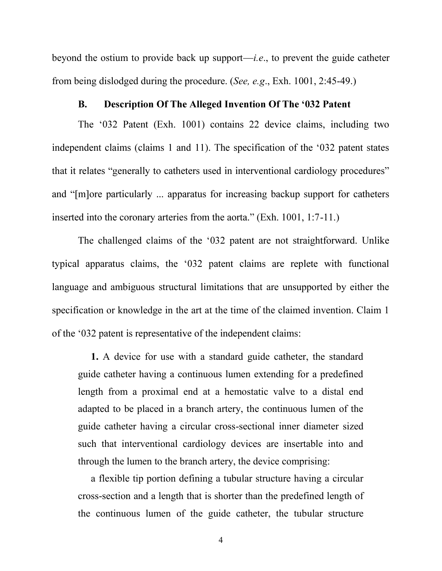beyond the ostium to provide back up support—*i.e.*, to prevent the guide catheter from being dislodged during the procedure. (*See, e.g*., Exh. 1001, 2:45-49.)

#### B. Description Of The Alleged Invention Of The '032 Patent

The '032 Patent (Exh. 1001) contains 22 device claims, including two independent claims (claims 1 and 11). The specification of the '032 patent states that it relates "generally to catheters used in interventional cardiology procedures" and " $[m]$  ore particularly ... apparatus for increasing backup support for catheters inserted into the coronary arteries from the aorta." (Exh. 1001, 1:7-11.)

The challenged claims of the  $032$  patent are not straightforward. Unlike typical apparatus claims, the '032 patent claims are replete with functional language and ambiguous structural limitations that are unsupported by either the specification or knowledge in the art at the time of the claimed invention. Claim 1 of the '032 patent is representative of the independent claims:

**1.** A device for use with a standard guide catheter, the standard guide catheter having a continuous lumen extending for a predefined length from a proximal end at a hemostatic valve to a distal end adapted to be placed in a branch artery, the continuous lumen of the guide catheter having a circular cross-sectional inner diameter sized such that interventional cardiology devices are insertable into and through the lumen to the branch artery, the device comprising:

a flexible tip portion defining a tubular structure having a circular cross-section and a length that is shorter than the predefined length of the continuous lumen of the guide catheter, the tubular structure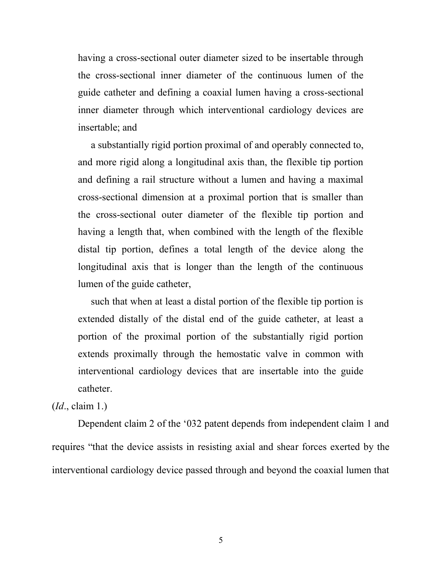having a cross-sectional outer diameter sized to be insertable through the cross-sectional inner diameter of the continuous lumen of the guide catheter and defining a coaxial lumen having a cross-sectional inner diameter through which interventional cardiology devices are insertable; and

a substantially rigid portion proximal of and operably connected to, and more rigid along a longitudinal axis than, the flexible tip portion and defining a rail structure without a lumen and having a maximal cross-sectional dimension at a proximal portion that is smaller than the cross-sectional outer diameter of the flexible tip portion and having a length that, when combined with the length of the flexible distal tip portion, defines a total length of the device along the longitudinal axis that is longer than the length of the continuous lumen of the guide catheter,

such that when at least a distal portion of the flexible tip portion is extended distally of the distal end of the guide catheter, at least a portion of the proximal portion of the substantially rigid portion extends proximally through the hemostatic valve in common with interventional cardiology devices that are insertable into the guide catheter.

#### (*Id*., claim 1.)

Dependent claim 2 of the '032 patent depends from independent claim 1 and requires "that the device assists in resisting axial and shear forces exerted by the interventional cardiology device passed through and beyond the coaxial lumen that

5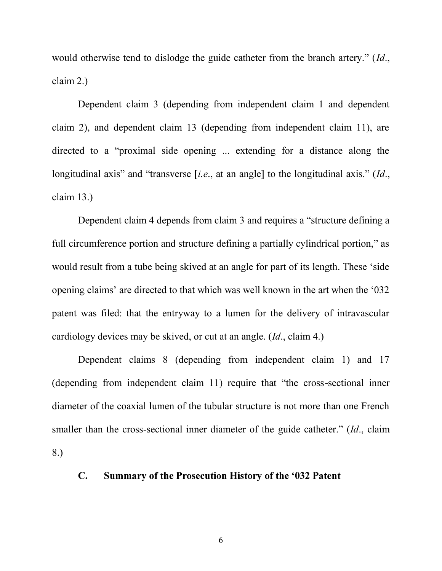would otherwise tend to dislodge the guide catheter from the branch artery." (*Id.*, claim 2.)

Dependent claim 3 (depending from independent claim 1 and dependent claim 2), and dependent claim 13 (depending from independent claim 11), are directed to a "proximal side opening ... extending for a distance along the longitudinal axis" and "transverse [i.e., at an angle] to the longitudinal axis."  $(Id.,$ claim 13.)

Dependent claim 4 depends from claim 3 and requires a "structure defining a full circumference portion and structure defining a partially cylindrical portion," as would result from a tube being skived at an angle for part of its length. These 'side opening claims' are directed to that which was well known in the art when the  $0.32$ patent was filed: that the entryway to a lumen for the delivery of intravascular cardiology devices may be skived, or cut at an angle. (*Id*., claim 4.)

Dependent claims 8 (depending from independent claim 1) and 17  $R$  (depending from independent claim 11) require that "the cross-sectional inner diameter of the coaxial lumen of the tubular structure is not more than one French smaller than the cross-sectional inner diameter of the guide catheter." (*Id.*, claim 8.)

# C. Summary of the Prosecution History of the '032 Patent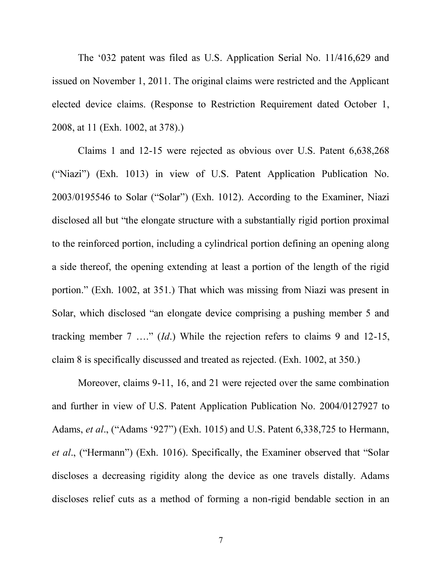The '032 patent was filed as U.S. Application Serial No.  $11/416,629$  and issued on November 1, 2011. The original claims were restricted and the Applicant elected device claims. (Response to Restriction Requirement dated October 1, 2008, at 11 (Exh. 1002, at 378).)

Claims 1 and 12-15 were rejected as obvious over U.S. Patent 6,638,268 ("Niazi") (Exh. 1013) in view of U.S. Patent Application Publication No.  $2003/0195546$  to Solar ("Solar") (Exh. 1012). According to the Examiner, Niazi disclosed all but "the elongate structure with a substantially rigid portion proximal to the reinforced portion, including a cylindrical portion defining an opening along a side thereof, the opening extending at least a portion of the length of the rigid portion." (Exh. 1002, at 351.) That which was missing from Niazi was present in Solar, which disclosed "an elongate device comprising a pushing member 5 and tracking member  $7 \dots$  *Id.*) While the rejection refers to claims 9 and 12-15, claim 8 is specifically discussed and treated as rejected. (Exh. 1002, at 350.)

Moreover, claims 9-11, 16, and 21 were rejected over the same combination and further in view of U.S. Patent Application Publication No. 2004/0127927 to Adams, *et al.*, ("Adams '927") (Exh. 1015) and U.S. Patent 6,338,725 to Hermann, *et al.*, ("Hermann") (Exh. 1016). Specifically, the Examiner observed that "Solar discloses a decreasing rigidity along the device as one travels distally. Adams discloses relief cuts as a method of forming a non-rigid bendable section in an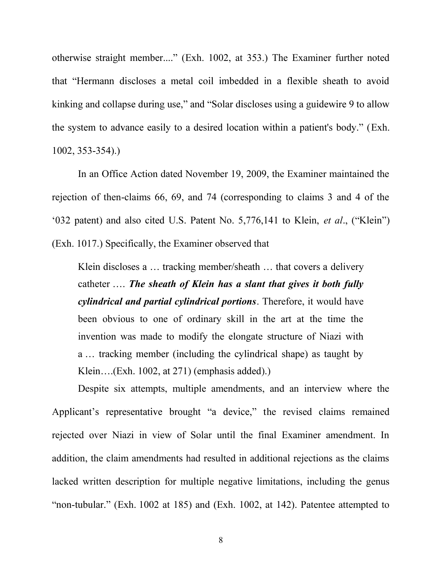otherwise straight member...." (Exh. 1002, at 353.) The Examiner further noted that "Hermann discloses a metal coil imbedded in a flexible sheath to avoid kinking and collapse during use," and "Solar discloses using a guidewire 9 to allow the system to advance easily to a desired location within a patient's body." (Exh. 1002, 353-354).)

In an Office Action dated November 19, 2009, the Examiner maintained the rejection of then-claims 66, 69, and 74 (corresponding to claims 3 and 4 of the  $^{\circ}$ 032 patent) and also cited U.S. Patent No. 5,776,141 to Klein, *et al.*, ("Klein") (Exh. 1017.) Specifically, the Examiner observed that

Klein discloses a  $\ldots$  tracking member/sheath  $\ldots$  that covers a delivery catheter .... The sheath of Klein has a slant that gives it both fully *cylindrical and partial cylindrical portions*. Therefore, it would have been obvious to one of ordinary skill in the art at the time the invention was made to modify the elongate structure of Niazi with a  $\ldots$  tracking member (including the cylindrical shape) as taught by Klein....(Exh. 1002, at 271) (emphasis added).)

Despite six attempts, multiple amendments, and an interview where the Applicant's representative brought "a device," the revised claims remained rejected over Niazi in view of Solar until the final Examiner amendment. In addition, the claim amendments had resulted in additional rejections as the claims lacked written description for multiple negative limitations, including the genus "non-tubular." (Exh. 1002 at 185) and (Exh. 1002, at 142). Patentee attempted to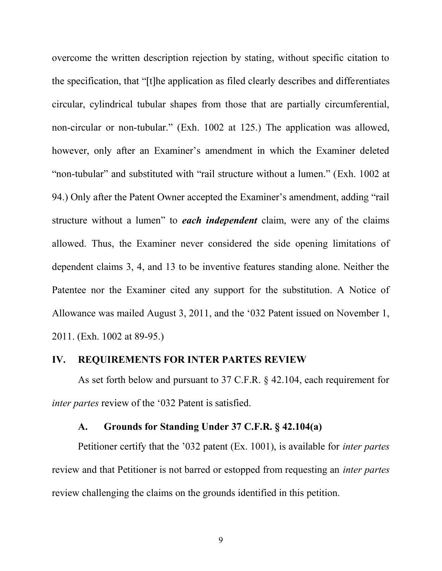overcome the written description rejection by stating, without specific citation to the specification, that "[t] he application as filed clearly describes and differentiates circular, cylindrical tubular shapes from those that are partially circumferential, non-circular or non-tubular." (Exh. 1002 at 125.) The application was allowed, however, only after an Examiner's amendment in which the Examiner deleted "non-tubular" and substituted with "rail structure without a lumen." (Exh. 1002 at 94.) Only after the Patent Owner accepted the Examiner's amendment, adding "rail structure without a lumen" to *each independent* claim, were any of the claims allowed. Thus, the Examiner never considered the side opening limitations of dependent claims 3, 4, and 13 to be inventive features standing alone. Neither the Patentee nor the Examiner cited any support for the substitution. A Notice of Allowance was mailed August 3, 2011, and the '032 Patent issued on November 1, 2011. (Exh. 1002 at 89-95.)

#### 7B& **REQUIREMENTS FOR INTER PARTES REVIEW**

As set forth below and pursuant to 37 C.F.R. § 42.104, each requirement for *inter partes* review of the '032 Patent is satisfied.

### /& **Grounds for Standing Under 37 C.F.R. § 42.104(a)**

Petitioner certify that the '032 patent (Ex. 1001), is available for *inter partes* review and that Petitioner is not barred or estopped from requesting an *inter partes* review challenging the claims on the grounds identified in this petition.

9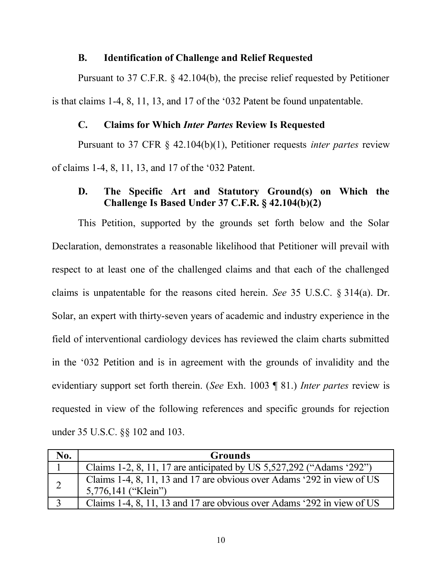### 0& **Identification of Challenge and Relief Requested**

Pursuant to 37 C.F.R. § 42.104(b), the precise relief requested by Petitioner is that claims 1-4, 8, 11, 13, and 17 of the '032 Patent be found unpatentable.

# 1& **Claims for Which** *Inter Partes* **Review Is Requested**

Pursuant to 37 CFR § 42.104(b)(1), Petitioner requests *inter partes* review of claims 1-4, 8, 11, 13, and 17 of the '032 Patent.

# 2& **The Specific Art and Statutory Ground(s) on Which the Challenge Is Based Under 37 C.F.R. § 42.104(b)(2)**

This Petition, supported by the grounds set forth below and the Solar Declaration, demonstrates a reasonable likelihood that Petitioner will prevail with respect to at least one of the challenged claims and that each of the challenged claims is unpatentable for the reasons cited herein. *See* 35 U.S.C. § 314(a). Dr. Solar, an expert with thirty-seven years of academic and industry experience in the field of interventional cardiology devices has reviewed the claim charts submitted in the  $\dot{\theta}$  of perticular order is in agreement with the grounds of invalidity and the evidentiary support set forth therein. (*See* Exh. 1003 ¶ 81.) *Inter partes* review is requested in view of the following references and specific grounds for rejection under 35 U.S.C. §§ 102 and 103.

| No. | <b>Grounds</b>                                                                                |
|-----|-----------------------------------------------------------------------------------------------|
|     | Claims 1-2, 8, 11, 17 are anticipated by US 5,527,292 ("Adams '292")                          |
|     | Claims 1-4, 8, 11, 13 and 17 are obvious over Adams '292 in view of US<br>5,776,141 ("Klein") |
|     | Claims 1-4, 8, 11, 13 and 17 are obvious over Adams '292 in view of US                        |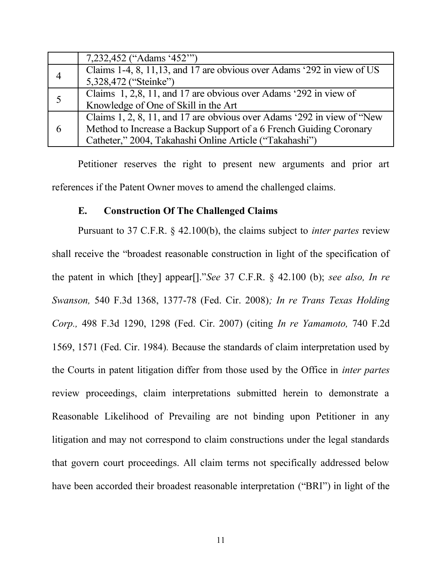|   | 7,232,452 ("Adams '452"")                                               |
|---|-------------------------------------------------------------------------|
|   | Claims 1-4, 8, 11, 13, and 17 are obvious over Adams '292 in view of US |
|   | 5,328,472 ("Steinke")                                                   |
| 5 | Claims 1, 2,8, 11, and 17 are obvious over Adams '292 in view of        |
|   | Knowledge of One of Skill in the Art                                    |
| 6 | Claims 1, 2, 8, 11, and 17 are obvious over Adams '292 in view of "New  |
|   | Method to Increase a Backup Support of a 6 French Guiding Coronary      |
|   | Catheter," 2004, Takahashi Online Article ("Takahashi")                 |

Petitioner reserves the right to present new arguments and prior art references if the Patent Owner moves to amend the challenged claims.

#### 3& **Construction Of The Challenged Claims**

Pursuant to 37 C.F.R. § 42.100(b), the claims subject to *inter partes* review shall receive the "broadest reasonable construction in light of the specification of the patent in which [they] appear[]."See 37 C.F.R. § 42.100 (b); *see also, In re Swanson,* 540 F.3d 1368, 1377-78 (Fed. Cir. 2008)*; In re Trans Texas Holding Corp.,* 498 F.3d 1290, 1298 (Fed. Cir. 2007) (citing *In re Yamamoto,* 740 F.2d 1569, 1571 (Fed. Cir. 1984)*.* Because the standards of claim interpretation used by the Courts in patent litigation differ from those used by the Office in *inter partes* review proceedings, claim interpretations submitted herein to demonstrate a Reasonable Likelihood of Prevailing are not binding upon Petitioner in any litigation and may not correspond to claim constructions under the legal standards that govern court proceedings. All claim terms not specifically addressed below have been accorded their broadest reasonable interpretation ("BRI") in light of the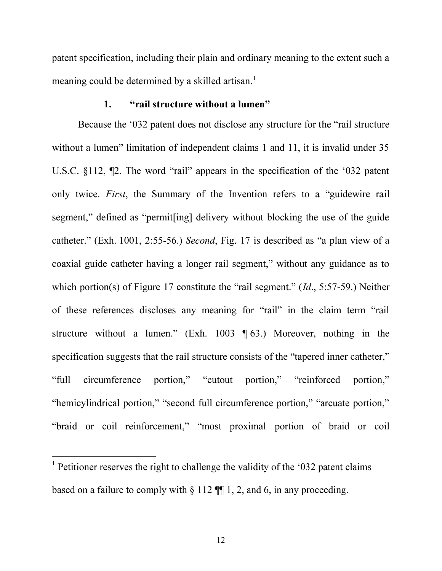patent specification, including their plain and ordinary meaning to the extent such a meaning could be determined by a skilled artisan.<sup>1</sup>

#### 1. "rail structure without a lumen"

Because the '032 patent does not disclose any structure for the "rail structure" without a lumen" limitation of independent claims 1 and 11, it is invalid under  $35$ U.S.C.  $$112$ ,  $\P$ 2. The word "rail" appears in the specification of the '032 patent only twice. *First*, the Summary of the Invention refers to a "guidewire rail" segment," defined as "permit [ing] delivery without blocking the use of the guide catheter." (Exh. 1001, 2:55-56.) *Second*, Fig. 17 is described as "a plan view of a coaxial guide catheter having a longer rail segment," without any guidance as to which portion(s) of Figure 17 constitute the "rail segment." (*Id.*, 5:57-59.) Neither of these references discloses any meaning for "rail" in the claim term "rail structure without a lumen." (Exh. 1003  $\P$  63.) Moreover, nothing in the specification suggests that the rail structure consists of the "tapered inner catheter." "full circumference portion," "cutout portion," "reinforced portion," "hemicylindrical portion," "second full circumference portion," "arcuate portion," "braid or coil reinforcement," "most proximal portion of braid or coil

 $1$  Petitioner reserves the right to challenge the validity of the '032 patent claims based on a failure to comply with  $\S 112$  ¶ 1, 2, and 6, in any proceeding.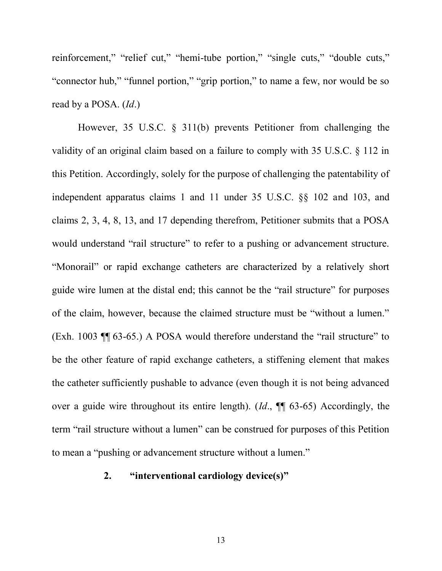reinforcement," "relief cut," "hemi-tube portion," "single cuts," "double cuts," "connector hub," "funnel portion," "grip portion," to name a few, nor would be so read by a POSA. (*Id*.)

However, 35 U.S.C. § 311(b) prevents Petitioner from challenging the validity of an original claim based on a failure to comply with 35 U.S.C. § 112 in this Petition. Accordingly, solely for the purpose of challenging the patentability of independent apparatus claims 1 and 11 under 35 U.S.C. §§ 102 and 103, and claims 2, 3, 4, 8, 13, and 17 depending therefrom, Petitioner submits that a POSA would understand "rail structure" to refer to a pushing or advancement structure. "Monorail" or rapid exchange catheters are characterized by a relatively short guide wire lumen at the distal end; this cannot be the "rail structure" for purposes of the claim, however, because the claimed structure must be "without a lumen." (Exh. 1003  $\P$  $(63-65.)$  A POSA would therefore understand the "rail structure" to be the other feature of rapid exchange catheters, a stiffening element that makes the catheter sufficiently pushable to advance (even though it is not being advanced over a guide wire throughout its entire length). (*Id*., ¶¶ 63-65) Accordingly, the term "rail structure without a lumen" can be construed for purposes of this Petition to mean a "pushing or advancement structure without a lumen."

### 2. "interventional cardiology device(s)"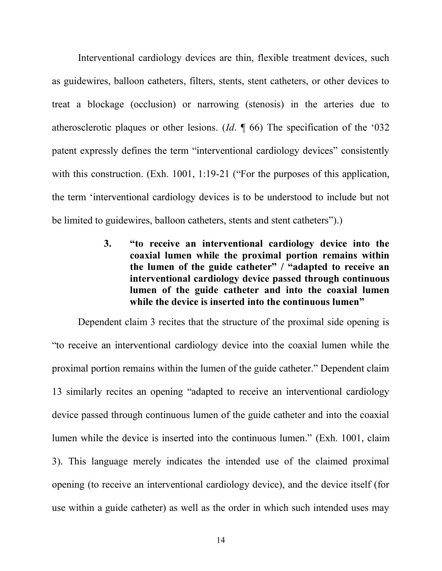Interventional cardiology devices are thin, flexible treatment devices, such as guidewires, balloon catheters, filters, stents, stent catheters, or other devices to treat a blockage (occlusion) or narrowing (stenosis) in the arteries due to atherosclerotic plaques or other lesions. (*Id.*  $\parallel$  66) The specification of the '032 patent expressly defines the term "interventional cardiology devices" consistently with this construction. (Exh. 1001, 1:19-21 ("For the purposes of this application, the term 'interventional cardiology devices is to be understood to include but not be limited to guidewires, balloon catheters, stents and stent catheters").)

> 3. "to receive an interventional cardiology device into the **coaxial lumen while the proximal portion remains within** the lumen of the guide catheter"  $\prime$  "adapted to receive an **interventional cardiology device passed through continuous lumen of the guide catheter and into the coaxial lumen** while the device is inserted into the continuous lumen"

Dependent claim 3 recites that the structure of the proximal side opening is "to receive an interventional cardiology device into the coaxial lumen while the proximal portion remains within the lumen of the guide catheter." Dependent claim 13 similarly recites an opening "adapted to receive an interventional cardiology device passed through continuous lumen of the guide catheter and into the coaxial lumen while the device is inserted into the continuous lumen." (Exh. 1001, claim 3). This language merely indicates the intended use of the claimed proximal opening (to receive an interventional cardiology device), and the device itself (for use within a guide catheter) as well as the order in which such intended uses may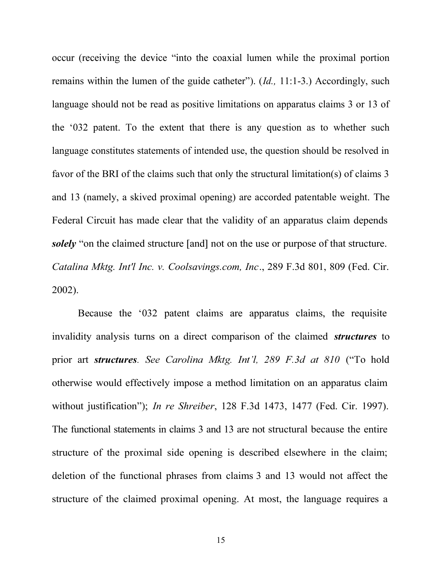occur (receiving the device "into the coaxial lumen while the proximal portion remains within the lumen of the guide catheter").  $(Id., 11:1-3$ .) Accordingly, such language should not be read as positive limitations on apparatus claims 3 or 13 of the '032 patent. To the extent that there is any question as to whether such language constitutes statements of intended use, the question should be resolved in favor of the BRI of the claims such that only the structural limitation(s) of claims 3 and 13 (namely, a skived proximal opening) are accorded patentable weight. The Federal Circuit has made clear that the validity of an apparatus claim depends *solely* "on the claimed structure [and] not on the use or purpose of that structure. *Catalina Mktg. Int'l Inc. v. Coolsavings.com, Inc*., 289 F.3d 801, 809 (Fed. Cir. 2002).

Because the  $0.32$  patent claims are apparatus claims, the requisite invalidity analysis turns on a direct comparison of the claimed *structures* to prior art *structures*. See Carolina Mktg. Int'l, 289 F.3d at 810 ("To hold otherwise would effectively impose a method limitation on an apparatus claim without justification"); *In re Shreiber*, 128 F.3d 1473, 1477 (Fed. Cir. 1997). The functional statements in claims 3 and 13 are not structural because the entire structure of the proximal side opening is described elsewhere in the claim; deletion of the functional phrases from claims 3 and 13 would not affect the structure of the claimed proximal opening. At most, the language requires a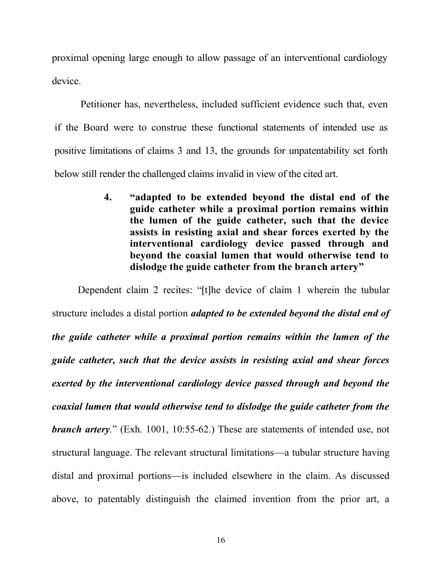proximal opening large enough to allow passage of an interventional cardiology device.

Petitioner has, nevertheless, included sufficient evidence such that, even if the Board were to construe these functional statements of intended use as positive limitations of claims 3 and 13, the grounds for unpatentability set forth below still render the challenged claims invalid in view of the cited art.

> 4. "adapted to be extended beyond the distal end of the **guide catheter while a proximal portion remains within the lumen of the guide catheter, such that the device assists in resisting axial and shear forces exerted by the interventional cardiology device passed through and beyond the coaxial lumen that would otherwise tend to** dislodge the guide catheter from the branch artery"

Dependent claim 2 recites: "[t] he device of claim 1 wherein the tubular structure includes a distal portion *adapted to be extended beyond the distal end of the guide catheter while a proximal portion remains within the lumen of the guide catheter, such that the device assists in resisting axial and shear forces exerted by the interventional cardiology device passed through and beyond the coaxial lumen that would otherwise tend to dislodge the guide catheter from the branch artery*." (Exh. 1001, 10:55-62.) These are statements of intended use, not structural language. The relevant structural limitations—a tubular structure having distal and proximal portions--- is included elsewhere in the claim. As discussed above, to patentably distinguish the claimed invention from the prior art, a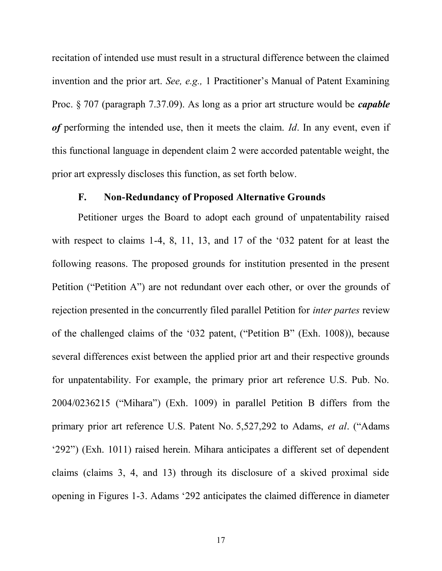recitation of intended use must result in a structural difference between the claimed invention and the prior art. *See, e.g.,* 1 Practitioner's Manual of Patent Examining Proc. § 707 (paragraph 7.37.09). As long as a prior art structure would be *capable of* performing the intended use, then it meets the claim. *Id*. In any event, even if this functional language in dependent claim 2 were accorded patentable weight, the prior art expressly discloses this function, as set forth below.

### F. Non-Redundancy of Proposed Alternative Grounds

Petitioner urges the Board to adopt each ground of unpatentability raised with respect to claims 1-4, 8, 11, 13, and 17 of the  $\dot{\theta}$  032 patent for at least the following reasons. The proposed grounds for institution presented in the present Petition ("Petition A") are not redundant over each other, or over the grounds of rejection presented in the concurrently filed parallel Petition for *inter partes* review of the challenged claims of the '032 patent, ("Petition B" (Exh. 1008)), because several differences exist between the applied prior art and their respective grounds for unpatentability. For example, the primary prior art reference U.S. Pub. No.  $2004/0236215$  ("Mihara") (Exh. 1009) in parallel Petition B differs from the primary prior art reference U.S. Patent No. 5,527,292 to Adams, *et al.* ("Adams '292") (Exh. 1011) raised herein. Mihara anticipates a different set of dependent claims (claims 3, 4, and 13) through its disclosure of a skived proximal side opening in Figures 1-3. Adams  $292$  anticipates the claimed difference in diameter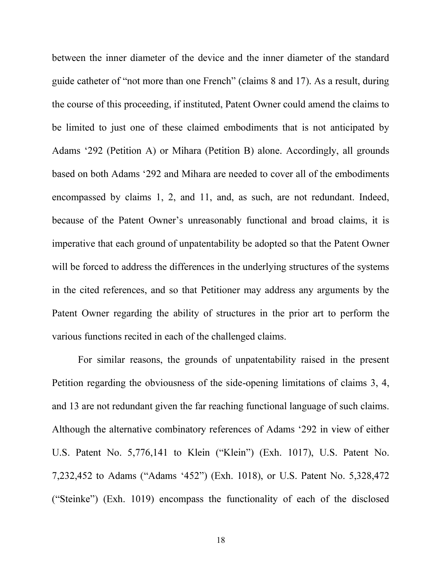between the inner diameter of the device and the inner diameter of the standard guide catheter of "not more than one French" (claims  $8$  and  $17$ ). As a result, during the course of this proceeding, if instituted, Patent Owner could amend the claims to be limited to just one of these claimed embodiments that is not anticipated by Adams  $6292$  (Petition A) or Mihara (Petition B) alone. Accordingly, all grounds based on both Adams '292 and Mihara are needed to cover all of the embodiments encompassed by claims 1, 2, and 11, and, as such, are not redundant. Indeed, because of the Patent Owner's unreasonably functional and broad claims, it is imperative that each ground of unpatentability be adopted so that the Patent Owner will be forced to address the differences in the underlying structures of the systems in the cited references, and so that Petitioner may address any arguments by the Patent Owner regarding the ability of structures in the prior art to perform the various functions recited in each of the challenged claims.

For similar reasons, the grounds of unpatentability raised in the present Petition regarding the obviousness of the side-opening limitations of claims 3, 4, and 13 are not redundant given the far reaching functional language of such claims. Although the alternative combinatory references of Adams '292 in view of either U.S. Patent No. 5,776,141 to Klein ("Klein") (Exh. 1017), U.S. Patent No. 7,232,452 to Adams ("Adams '452") (Exh. 1018), or U.S. Patent No. 5,328,472 ("Steinke") (Exh. 1019) encompass the functionality of each of the disclosed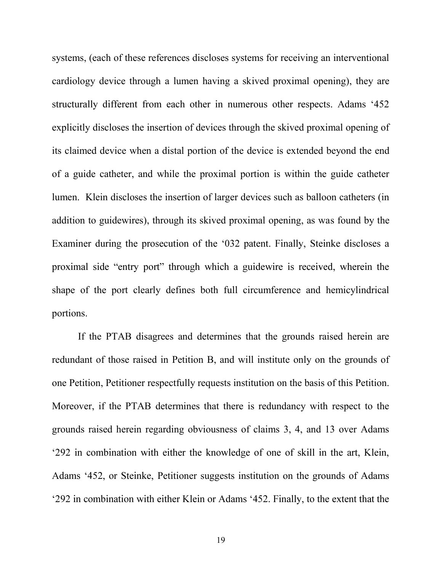systems, (each of these references discloses systems for receiving an interventional cardiology device through a lumen having a skived proximal opening), they are structurally different from each other in numerous other respects. Adams '452 explicitly discloses the insertion of devices through the skived proximal opening of its claimed device when a distal portion of the device is extended beyond the end of a guide catheter, and while the proximal portion is within the guide catheter lumen. Klein discloses the insertion of larger devices such as balloon catheters (in addition to guidewires), through its skived proximal opening, as was found by the Examiner during the prosecution of the '032 patent. Finally, Steinke discloses a proximal side "entry port" through which a guidewire is received, wherein the shape of the port clearly defines both full circumference and hemicylindrical portions.

If the PTAB disagrees and determines that the grounds raised herein are redundant of those raised in Petition B, and will institute only on the grounds of one Petition, Petitioner respectfully requests institution on the basis of this Petition. Moreover, if the PTAB determines that there is redundancy with respect to the grounds raised herein regarding obviousness of claims 3, 4, and 13 over Adams  $292$  in combination with either the knowledge of one of skill in the art, Klein, Adams '452, or Steinke, Petitioner suggests institution on the grounds of Adams '292 in combination with either Klein or Adams '452. Finally, to the extent that the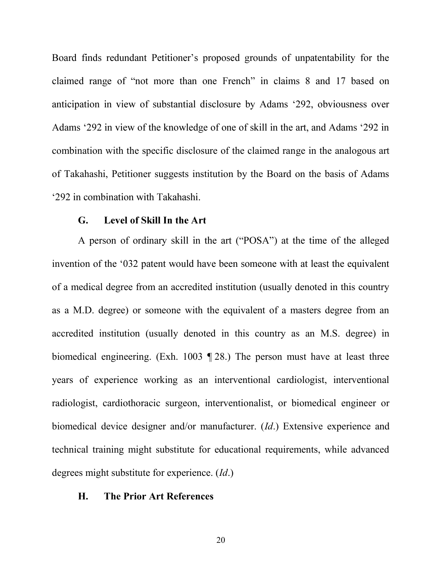Board finds redundant Petitioner's proposed grounds of unpatentability for the claimed range of "not more than one French" in claims 8 and 17 based on anticipation in view of substantial disclosure by Adams '292, obviousness over Adams '292 in view of the knowledge of one of skill in the art, and Adams '292 in combination with the specific disclosure of the claimed range in the analogous art of Takahashi, Petitioner suggests institution by the Board on the basis of Adams  $292$  in combination with Takahashi.

#### G. Level of Skill In the Art

A person of ordinary skill in the art ("POSA") at the time of the alleged invention of the '032 patent would have been someone with at least the equivalent of a medical degree from an accredited institution (usually denoted in this country as a M.D. degree) or someone with the equivalent of a masters degree from an accredited institution (usually denoted in this country as an M.S. degree) in biomedical engineering. (Exh. 1003 ¶ 28.) The person must have at least three years of experience working as an interventional cardiologist, interventional radiologist, cardiothoracic surgeon, interventionalist, or biomedical engineer or biomedical device designer and/or manufacturer. (*Id*.) Extensive experience and technical training might substitute for educational requirements, while advanced degrees might substitute for experience. (*Id*.)

#### 6& **The Prior Art References**

20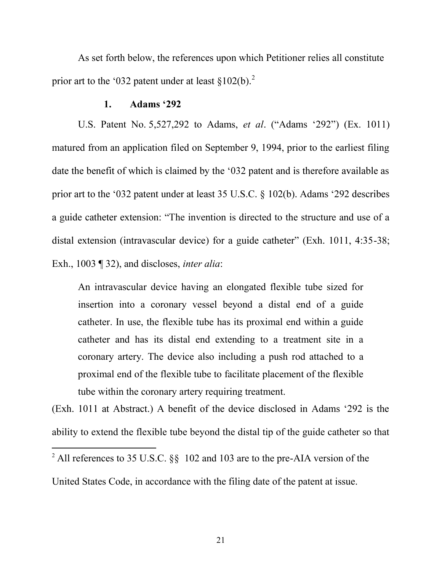As set forth below, the references upon which Petitioner relies all constitute prior art to the '032 patent under at least  $\S 102(b)$ .<sup>2</sup>

#### 1. Adams '292

U.S. Patent No. 5,527,292 to Adams, *et al.* ("Adams '292") (Ex. 1011) matured from an application filed on September 9, 1994, prior to the earliest filing date the benefit of which is claimed by the  $0.32$  patent and is therefore available as prior art to the '032 patent under at least 35 U.S.C.  $\S$  102(b). Adams '292 describes a guide catheter extension: "The invention is directed to the structure and use of a distal extension (intravascular device) for a guide catheter" (Exh. 1011, 4:35-38; Exh., 1003 ¶ 32), and discloses, *inter alia*:

An intravascular device having an elongated flexible tube sized for insertion into a coronary vessel beyond a distal end of a guide catheter. In use, the flexible tube has its proximal end within a guide catheter and has its distal end extending to a treatment site in a coronary artery. The device also including a push rod attached to a proximal end of the flexible tube to facilitate placement of the flexible tube within the coronary artery requiring treatment.

 $(Exh, 1011$  at Abstract.) A benefit of the device disclosed in Adams  $292$  is the ability to extend the flexible tube beyond the distal tip of the guide catheter so that

United States Code, in accordance with the filing date of the patent at issue.

<sup>&</sup>lt;sup>2</sup> All references to 35 U.S.C. §§ 102 and 103 are to the pre-AIA version of the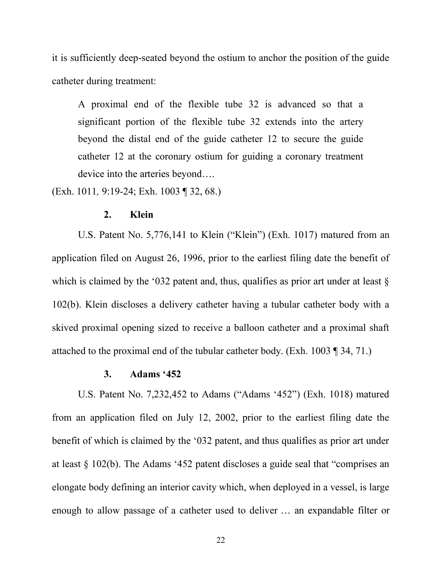it is sufficiently deep-seated beyond the ostium to anchor the position of the guide catheter during treatment:

A proximal end of the flexible tube 32 is advanced so that a significant portion of the flexible tube 32 extends into the artery beyond the distal end of the guide catheter 12 to secure the guide catheter 12 at the coronary ostium for guiding a coronary treatment device into the arteries beyond....

(Exh. 1011*,* 9:19-24; Exh. 1003 ¶ 32, 68.)

#### 2. **Klein**

U.S. Patent No.  $5,776,141$  to Klein ("Klein") (Exh. 1017) matured from an application filed on August 26, 1996, prior to the earliest filing date the benefit of which is claimed by the '032 patent and, thus, qualifies as prior art under at least  $\S$ 102(b). Klein discloses a delivery catheter having a tubular catheter body with a skived proximal opening sized to receive a balloon catheter and a proximal shaft attached to the proximal end of the tubular catheter body. (Exh. 1003 ¶ 34, 71.)

#### $3.$  Adams  $452$

U.S. Patent No. 7,232,452 to Adams ("Adams '452") (Exh. 1018) matured from an application filed on July 12, 2002, prior to the earliest filing date the benefit of which is claimed by the '032 patent, and thus qualifies as prior art under at least  $\S$  102(b). The Adams '452 patent discloses a guide seal that "comprises an elongate body defining an interior cavity which, when deployed in a vessel, is large enough to allow passage of a catheter used to deliver  $\ldots$  an expandable filter or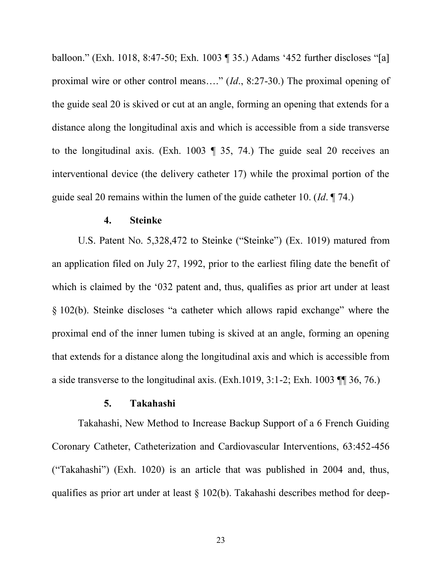balloon." (Exh. 1018, 8:47-50; Exh. 1003  $\parallel$  35.) Adams '452 further discloses "[a] proximal wire or other control means...." (*Id.*, 8:27-30.) The proximal opening of the guide seal 20 is skived or cut at an angle, forming an opening that extends for a distance along the longitudinal axis and which is accessible from a side transverse to the longitudinal axis. (Exh. 1003 ¶ 35, 74.) The guide seal 20 receives an interventional device (the delivery catheter 17) while the proximal portion of the guide seal 20 remains within the lumen of the guide catheter 10. (*Id*. ¶ 74.)

#### +& **Steinke**

U.S. Patent No. 5,328,472 to Steinke ("Steinke") (Ex. 1019) matured from an application filed on July 27, 1992, prior to the earliest filing date the benefit of which is claimed by the '032 patent and, thus, qualifies as prior art under at least  $\S$  102(b). Steinke discloses "a catheter which allows rapid exchange" where the proximal end of the inner lumen tubing is skived at an angle, forming an opening that extends for a distance along the longitudinal axis and which is accessible from a side transverse to the longitudinal axis. (Exh.1019, 3:1-2; Exh. 1003 ¶¶ 36, 76.)

#### ,& **Takahashi**

Takahashi, New Method to Increase Backup Support of a 6 French Guiding Coronary Catheter, Catheterization and Cardiovascular Interventions, 63:452-456 ("Takahashi") (Exh. 1020) is an article that was published in 2004 and, thus, qualifies as prior art under at least § 102(b). Takahashi describes method for deep-

23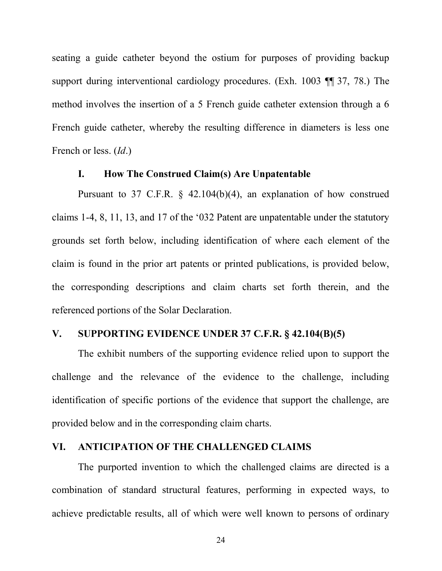seating a guide catheter beyond the ostium for purposes of providing backup support during interventional cardiology procedures. (Exh. 1003 ¶¶ 37, 78.) The method involves the insertion of a 5 French guide catheter extension through a 6 French guide catheter, whereby the resulting difference in diameters is less one French or less. (*Id*.)

#### I. How The Construed Claim(s) Are Unpatentable

Pursuant to 37 C.F.R. § 42.104(b)(4), an explanation of how construed claims 1-4, 8, 11, 13, and 17 of the '032 Patent are unpatentable under the statutory grounds set forth below, including identification of where each element of the claim is found in the prior art patents or printed publications, is provided below, the corresponding descriptions and claim charts set forth therein, and the referenced portions of the Solar Declaration.

### V. SUPPORTING EVIDENCE UNDER 37 C.F.R.  $\S$  42.104(B)(5)

The exhibit numbers of the supporting evidence relied upon to support the challenge and the relevance of the evidence to the challenge, including identification of specific portions of the evidence that support the challenge, are provided below and in the corresponding claim charts.

#### VI. ANTICIPATION OF THE CHALLENGED CLAIMS

The purported invention to which the challenged claims are directed is a combination of standard structural features, performing in expected ways, to achieve predictable results, all of which were well known to persons of ordinary

24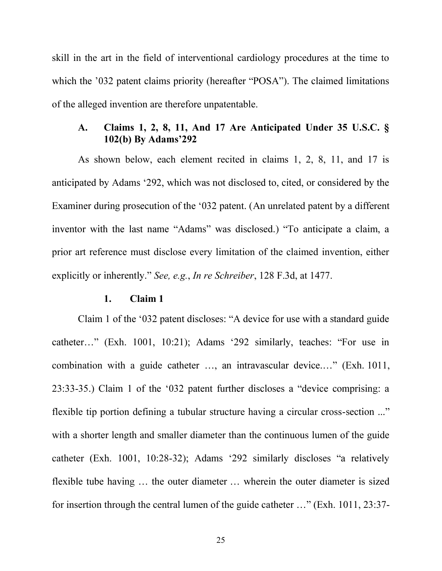skill in the art in the field of interventional cardiology procedures at the time to which the '032 patent claims priority (hereafter "POSA"). The claimed limitations of the alleged invention are therefore unpatentable.

# /& **Claims 1, 2, 8, 11, And 17 Are Anticipated Under 35 U.S.C. §** 102(b) By Adams'292

As shown below, each element recited in claims 1, 2, 8, 11, and 17 is anticipated by Adams '292, which was not disclosed to, cited, or considered by the Examiner during prosecution of the '032 patent. (An unrelated patent by a different inventor with the last name "Adams" was disclosed.) "To anticipate a claim, a prior art reference must disclose every limitation of the claimed invention, either explicitly or inherently." See, e.g., *In re Schreiber*, 128 F.3d, at 1477.

#### (& **Claim 1**

Claim 1 of the '032 patent discloses: "A device for use with a standard guide catheter..." (Exh. 1001, 10:21); Adams '292 similarly, teaches: "For use in combination with a guide catheter  $\dots$ , an intravascular device $\dots$ ." (Exh. 1011,  $23:33-35$ .) Claim 1 of the '032 patent further discloses a "device comprising: a flexible tip portion defining a tubular structure having a circular cross-section  $\ldots$ " with a shorter length and smaller diameter than the continuous lumen of the guide catheter (Exh. 1001, 10:28-32); Adams '292 similarly discloses "a relatively flexible tube having  $\ldots$  the outer diameter  $\ldots$  wherein the outer diameter is sized for insertion through the central lumen of the guide catheter  $\ldots$ " (Exh. 1011, 23:37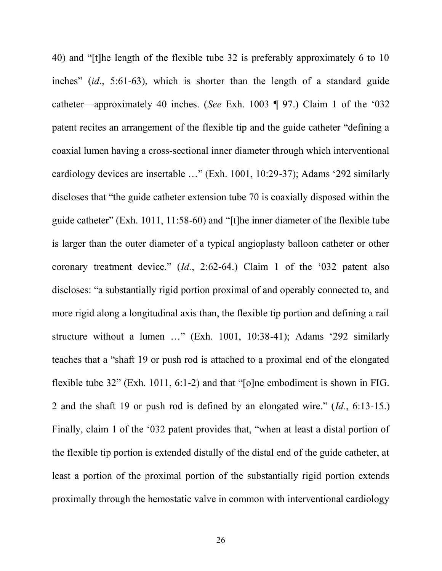40) and "[t]he length of the flexible tube 32 is preferably approximately 6 to 10 inches" (id., 5:61-63), which is shorter than the length of a standard guide catheter—approximately 40 inches. (*See* Exh. 1003 ¶ 97.) Claim 1 of the '032 patent recites an arrangement of the flexible tip and the guide catheter "defining a coaxial lumen having a cross-sectional inner diameter through which interventional cardiology devices are insertable  $\ldots$ " (Exh. 1001, 10:29-37); Adams '292 similarly discloses that "the guide catheter extension tube  $70$  is coaxially disposed within the guide catheter" (Exh. 1011, 11:58-60) and "[t]he inner diameter of the flexible tube is larger than the outer diameter of a typical angioplasty balloon catheter or other coronary treatment device."  $(Id., 2:62-64.)$  Claim 1 of the '032 patent also discloses: "a substantially rigid portion proximal of and operably connected to, and more rigid along a longitudinal axis than, the flexible tip portion and defining a rail structure without a lumen  $\ldots$ " (Exh. 1001, 10:38-41); Adams '292 similarly teaches that a "shaft 19 or push rod is attached to a proximal end of the elongated flexible tube 32" (Exh. 1011, 6:1-2) and that "[o]ne embodiment is shown in FIG. 2 and the shaft 19 or push rod is defined by an elongated wire."  $(Id., 6:13-15.)$ Finally, claim 1 of the '032 patent provides that, "when at least a distal portion of the flexible tip portion is extended distally of the distal end of the guide catheter, at least a portion of the proximal portion of the substantially rigid portion extends proximally through the hemostatic valve in common with interventional cardiology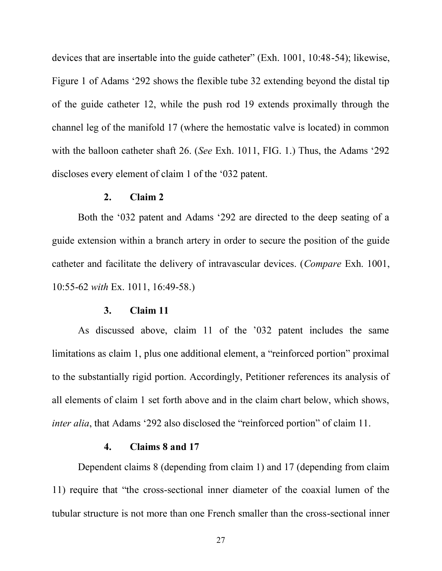devices that are insertable into the guide catheter" (Exh.  $1001, 10:48-54$ ); likewise, Figure 1 of Adams  $292$  shows the flexible tube 32 extending beyond the distal tip of the guide catheter 12, while the push rod 19 extends proximally through the channel leg of the manifold 17 (where the hemostatic valve is located) in common with the balloon catheter shaft 26. (*See* Exh. 1011, FIG. 1.) Thus, the Adams '292 discloses every element of claim 1 of the '032 patent.

#### )& **Claim 2**

Both the '032 patent and Adams '292 are directed to the deep seating of a guide extension within a branch artery in order to secure the position of the guide catheter and facilitate the delivery of intravascular devices. (*Compare* Exh. 1001, 10:55-62 *with* Ex. 1011, 16:49-58.)

#### \*& **Claim 11**

As discussed above, claim 11 of the '032 patent includes the same  $I$  limitations as claim 1, plus one additional element, a "reinforced portion" proximal to the substantially rigid portion. Accordingly, Petitioner references its analysis of all elements of claim 1 set forth above and in the claim chart below, which shows, *inter alia*, that Adams '292 also disclosed the "reinforced portion" of claim 11.

#### 4.  $\blacksquare$  Claims 8 and 17

Dependent claims 8 (depending from claim 1) and 17 (depending from claim 11) require that "the cross-sectional inner diameter of the coaxial lumen of the tubular structure is not more than one French smaller than the cross-sectional inner

27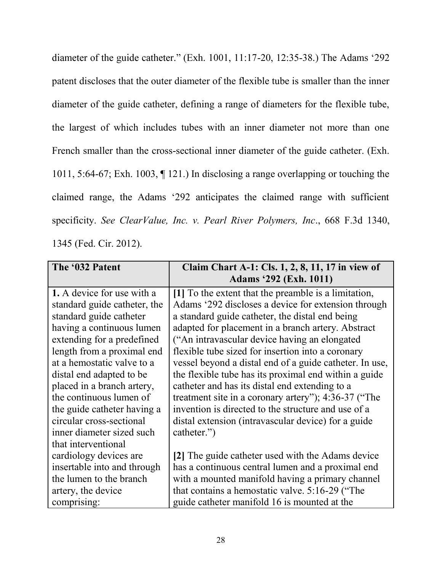diameter of the guide catheter." (Exh. 1001, 11:17-20, 12:35-38.) The Adams '292 patent discloses that the outer diameter of the flexible tube is smaller than the inner diameter of the guide catheter, defining a range of diameters for the flexible tube, the largest of which includes tubes with an inner diameter not more than one French smaller than the cross-sectional inner diameter of the guide catheter. (Exh. 1011, 5:64-67; Exh. 1003, ¶ 121.) In disclosing a range overlapping or touching the claimed range, the Adams '292 anticipates the claimed range with sufficient specificity. *See ClearValue, Inc. v. Pearl River Polymers, Inc*., 668 F.3d 1340, 1345 (Fed. Cir. 2012).

| The '032 Patent              | Claim Chart A-1: Cls. 1, 2, 8, 11, 17 in view of        |
|------------------------------|---------------------------------------------------------|
|                              | <b>Adams '292 (Exh. 1011)</b>                           |
| 1. A device for use with a   | [1] To the extent that the preamble is a limitation,    |
| standard guide catheter, the | Adams '292 discloses a device for extension through     |
| standard guide catheter      | a standard guide catheter, the distal end being         |
| having a continuous lumen    | adapted for placement in a branch artery. Abstract      |
| extending for a predefined   | ("An intravascular device having an elongated           |
| length from a proximal end   | flexible tube sized for insertion into a coronary       |
| at a hemostatic valve to a   | vessel beyond a distal end of a guide catheter. In use, |
| distal end adapted to be     | the flexible tube has its proximal end within a guide   |
| placed in a branch artery,   | catheter and has its distal end extending to a          |
| the continuous lumen of      | treatment site in a coronary artery"); 4:36-37 ("The    |
| the guide catheter having a  | invention is directed to the structure and use of a     |
| circular cross-sectional     | distal extension (intravascular device) for a guide     |
| inner diameter sized such    | catheter."                                              |
| that interventional          |                                                         |
| cardiology devices are       | [2] The guide catheter used with the Adams device       |
| insertable into and through  | has a continuous central lumen and a proximal end       |
| the lumen to the branch      | with a mounted manifold having a primary channel        |
| artery, the device           | that contains a hemostatic valve. 5:16-29 ("The         |
| comprising:                  | guide catheter manifold 16 is mounted at the            |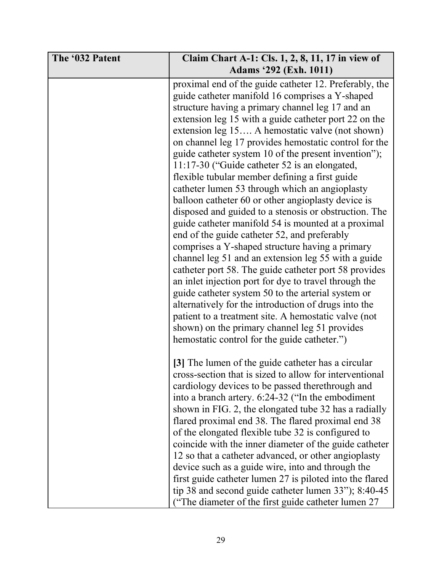| The '032 Patent | Claim Chart A-1: Cls. 1, 2, 8, 11, 17 in view of                                                                                                                                                                                                                                                                                                                                                                                                                                                                                                                                                                                                                                                                                                                                                                                                                                                                                                                                                                                                                                                                                                                                                                                                                         |
|-----------------|--------------------------------------------------------------------------------------------------------------------------------------------------------------------------------------------------------------------------------------------------------------------------------------------------------------------------------------------------------------------------------------------------------------------------------------------------------------------------------------------------------------------------------------------------------------------------------------------------------------------------------------------------------------------------------------------------------------------------------------------------------------------------------------------------------------------------------------------------------------------------------------------------------------------------------------------------------------------------------------------------------------------------------------------------------------------------------------------------------------------------------------------------------------------------------------------------------------------------------------------------------------------------|
|                 | <b>Adams '292 (Exh. 1011)</b>                                                                                                                                                                                                                                                                                                                                                                                                                                                                                                                                                                                                                                                                                                                                                                                                                                                                                                                                                                                                                                                                                                                                                                                                                                            |
|                 | proximal end of the guide catheter 12. Preferably, the<br>guide catheter manifold 16 comprises a Y-shaped<br>structure having a primary channel leg 17 and an<br>extension leg 15 with a guide catheter port 22 on the<br>extension leg 15 A hemostatic valve (not shown)<br>on channel leg 17 provides hemostatic control for the<br>guide catheter system 10 of the present invention");<br>11:17-30 ("Guide catheter 52 is an elongated,<br>flexible tubular member defining a first guide<br>catheter lumen 53 through which an angioplasty<br>balloon catheter 60 or other angioplasty device is<br>disposed and guided to a stenosis or obstruction. The<br>guide catheter manifold 54 is mounted at a proximal<br>end of the guide catheter 52, and preferably<br>comprises a Y-shaped structure having a primary<br>channel leg 51 and an extension leg 55 with a guide<br>catheter port 58. The guide catheter port 58 provides<br>an inlet injection port for dye to travel through the<br>guide catheter system 50 to the arterial system or<br>alternatively for the introduction of drugs into the<br>patient to a treatment site. A hemostatic valve (not<br>shown) on the primary channel leg 51 provides<br>hemostatic control for the guide catheter.") |
|                 | [3] The lumen of the guide catheter has a circular<br>cross-section that is sized to allow for interventional<br>cardiology devices to be passed therethrough and<br>into a branch artery. 6:24-32 ("In the embodiment<br>shown in FIG. 2, the elongated tube 32 has a radially<br>flared proximal end 38. The flared proximal end 38<br>of the elongated flexible tube 32 is configured to<br>coincide with the inner diameter of the guide catheter<br>12 so that a catheter advanced, or other angioplasty<br>device such as a guide wire, into and through the<br>first guide catheter lumen 27 is piloted into the flared<br>tip 38 and second guide catheter lumen 33"); 8:40-45<br>("The diameter of the first guide catheter lumen 27                                                                                                                                                                                                                                                                                                                                                                                                                                                                                                                            |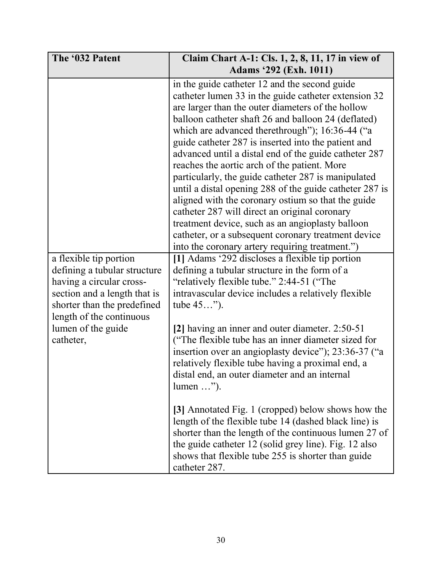| The '032 Patent                                                                                                                                                                                                  | Claim Chart A-1: Cls. 1, 2, 8, 11, 17 in view of<br>Adams '292 (Exh. 1011)                                                                                                                                                                                                                                                                                                                                                                                                                                                                                                                                                                                                                                                                                                                                                                                                                                                                                                                                                                                                                                                                                                                                                                                                                                                                     |
|------------------------------------------------------------------------------------------------------------------------------------------------------------------------------------------------------------------|------------------------------------------------------------------------------------------------------------------------------------------------------------------------------------------------------------------------------------------------------------------------------------------------------------------------------------------------------------------------------------------------------------------------------------------------------------------------------------------------------------------------------------------------------------------------------------------------------------------------------------------------------------------------------------------------------------------------------------------------------------------------------------------------------------------------------------------------------------------------------------------------------------------------------------------------------------------------------------------------------------------------------------------------------------------------------------------------------------------------------------------------------------------------------------------------------------------------------------------------------------------------------------------------------------------------------------------------|
| a flexible tip portion<br>defining a tubular structure<br>having a circular cross-<br>section and a length that is<br>shorter than the predefined<br>length of the continuous<br>lumen of the guide<br>catheter, | in the guide catheter 12 and the second guide<br>catheter lumen 33 in the guide catheter extension 32<br>are larger than the outer diameters of the hollow<br>balloon catheter shaft 26 and balloon 24 (deflated)<br>which are advanced therethrough"); 16:36-44 ("a<br>guide catheter 287 is inserted into the patient and<br>advanced until a distal end of the guide catheter 287<br>reaches the aortic arch of the patient. More<br>particularly, the guide catheter 287 is manipulated<br>until a distal opening 288 of the guide catheter 287 is<br>aligned with the coronary ostium so that the guide<br>catheter 287 will direct an original coronary<br>treatment device, such as an angioplasty balloon<br>catheter, or a subsequent coronary treatment device<br>into the coronary artery requiring treatment.")<br>[1] Adams '292 discloses a flexible tip portion<br>defining a tubular structure in the form of a<br>"relatively flexible tube." 2:44-51 ("The<br>intravascular device includes a relatively flexible<br>tube 45").<br>[2] having an inner and outer diameter. 2:50-51<br>("The flexible tube has an inner diameter sized for<br>insertion over an angioplasty device"); 23:36-37 ("a<br>relatively flexible tube having a proximal end, a<br>distal end, an outer diameter and an internal<br>$lumen \dots$ "). |
|                                                                                                                                                                                                                  | [3] Annotated Fig. 1 (cropped) below shows how the<br>length of the flexible tube 14 (dashed black line) is<br>shorter than the length of the continuous lumen 27 of<br>the guide catheter 12 (solid grey line). Fig. 12 also<br>shows that flexible tube 255 is shorter than guide<br>catheter 287.                                                                                                                                                                                                                                                                                                                                                                                                                                                                                                                                                                                                                                                                                                                                                                                                                                                                                                                                                                                                                                           |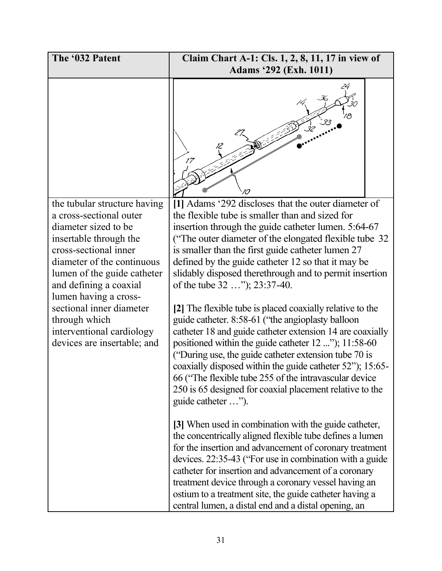| The '032 Patent                                                                                                                | Claim Chart A-1: Cls. 1, 2, 8, 11, 17 in view of                                                                                                                                                                                                                                                                                                                                                                                                                                                       |
|--------------------------------------------------------------------------------------------------------------------------------|--------------------------------------------------------------------------------------------------------------------------------------------------------------------------------------------------------------------------------------------------------------------------------------------------------------------------------------------------------------------------------------------------------------------------------------------------------------------------------------------------------|
|                                                                                                                                | <b>Adams '292 (Exh. 1011)</b>                                                                                                                                                                                                                                                                                                                                                                                                                                                                          |
|                                                                                                                                |                                                                                                                                                                                                                                                                                                                                                                                                                                                                                                        |
| the tubular structure having                                                                                                   | [1] Adams '292 discloses that the outer diameter of                                                                                                                                                                                                                                                                                                                                                                                                                                                    |
| a cross-sectional outer                                                                                                        | the flexible tube is smaller than and sized for                                                                                                                                                                                                                                                                                                                                                                                                                                                        |
| diameter sized to be                                                                                                           | insertion through the guide catheter lumen. 5:64-67                                                                                                                                                                                                                                                                                                                                                                                                                                                    |
| insertable through the<br>cross-sectional inner                                                                                | ("The outer diameter of the elongated flexible tube 32<br>is smaller than the first guide catheter lumen 27                                                                                                                                                                                                                                                                                                                                                                                            |
| diameter of the continuous                                                                                                     | defined by the guide catheter 12 so that it may be                                                                                                                                                                                                                                                                                                                                                                                                                                                     |
| lumen of the guide catheter                                                                                                    | slidably disposed therethrough and to permit insertion                                                                                                                                                                                                                                                                                                                                                                                                                                                 |
| and defining a coaxial                                                                                                         | of the tube 32 "); 23:37-40.                                                                                                                                                                                                                                                                                                                                                                                                                                                                           |
| lumen having a cross-<br>sectional inner diameter<br>through which<br>interventional cardiology<br>devices are insertable; and | [2] The flexible tube is placed coaxially relative to the<br>guide catheter. 8:58-61 ("the angioplasty balloon<br>catheter 18 and guide catheter extension 14 are coaxially<br>positioned within the guide catheter 12 "); 11:58-60<br>("During use, the guide catheter extension tube 70 is<br>coaxially disposed within the guide catheter 52"); 15:65-<br>66 ("The flexible tube 255 of the intravascular device"<br>250 is 65 designed for coaxial placement relative to the<br>guide catheter "). |
|                                                                                                                                | [3] When used in combination with the guide catheter,<br>the concentrically aligned flexible tube defines a lumen<br>for the insertion and advancement of coronary treatment<br>devices. 22:35-43 ("For use in combination with a guide"<br>catheter for insertion and advancement of a coronary<br>treatment device through a coronary vessel having an<br>ostium to a treatment site, the guide catheter having a<br>central lumen, a distal end and a distal opening, an                            |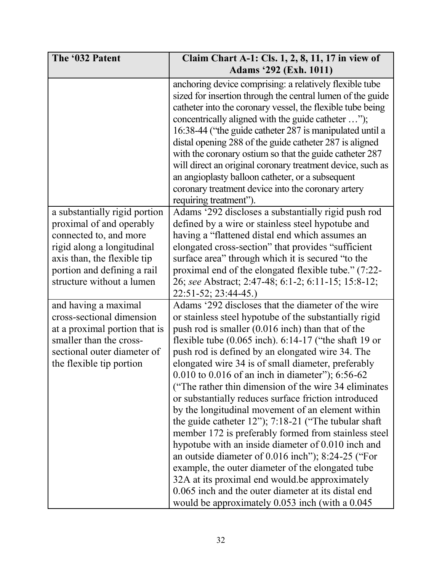| The '032 Patent                                                                                                                                                                                              | Claim Chart A-1: Cls. 1, 2, 8, 11, 17 in view of                                                                                                                                                                                                                                                                                                                                                                                                                                                                                                                                                                                                                                                                                                                                                                                                                                                                                                                                                                          |
|--------------------------------------------------------------------------------------------------------------------------------------------------------------------------------------------------------------|---------------------------------------------------------------------------------------------------------------------------------------------------------------------------------------------------------------------------------------------------------------------------------------------------------------------------------------------------------------------------------------------------------------------------------------------------------------------------------------------------------------------------------------------------------------------------------------------------------------------------------------------------------------------------------------------------------------------------------------------------------------------------------------------------------------------------------------------------------------------------------------------------------------------------------------------------------------------------------------------------------------------------|
|                                                                                                                                                                                                              | Adams '292 (Exh. 1011)                                                                                                                                                                                                                                                                                                                                                                                                                                                                                                                                                                                                                                                                                                                                                                                                                                                                                                                                                                                                    |
|                                                                                                                                                                                                              | anchoring device comprising: a relatively flexible tube<br>sized for insertion through the central lumen of the guide<br>catheter into the coronary vessel, the flexible tube being<br>concentrically aligned with the guide catheter ");<br>16:38-44 ("the guide catheter 287 is manipulated until a<br>distal opening 288 of the guide catheter 287 is aligned<br>with the coronary ostium so that the guide catheter 287<br>will direct an original coronary treatment device, such as<br>an angioplasty balloon catheter, or a subsequent<br>coronary treatment device into the coronary artery                                                                                                                                                                                                                                                                                                                                                                                                                       |
| a substantially rigid portion<br>proximal of and operably<br>connected to, and more<br>rigid along a longitudinal<br>axis than, the flexible tip<br>portion and defining a rail<br>structure without a lumen | requiring treatment").<br>Adams '292 discloses a substantially rigid push rod<br>defined by a wire or stainless steel hypotube and<br>having a "flattened distal end which assumes an<br>elongated cross-section" that provides "sufficient"<br>surface area" through which it is secured "to the<br>proximal end of the elongated flexible tube." (7:22-<br>26; see Abstract; 2:47-48; 6:1-2; 6:11-15; 15:8-12;<br>$22:51-52; 23:44-45.$                                                                                                                                                                                                                                                                                                                                                                                                                                                                                                                                                                                 |
| and having a maximal<br>cross-sectional dimension<br>at a proximal portion that is<br>smaller than the cross-<br>sectional outer diameter of<br>the flexible tip portion                                     | Adams '292 discloses that the diameter of the wire<br>or stainless steel hypotube of the substantially rigid<br>push rod is smaller $(0.016$ inch) than that of the<br>flexible tube $(0.065$ inch). $6:14-17$ ("the shaft 19 or<br>push rod is defined by an elongated wire 34. The<br>elongated wire 34 is of small diameter, preferably<br>0.010 to 0.016 of an inch in diameter"); 6:56-62<br>("The rather thin dimension of the wire 34 eliminates")<br>or substantially reduces surface friction introduced<br>by the longitudinal movement of an element within<br>the guide catheter $12$ "); $7:18-21$ ("The tubular shaft<br>member 172 is preferably formed from stainless steel<br>hypotube with an inside diameter of 0.010 inch and<br>an outside diameter of 0.016 inch"); 8:24-25 ("For<br>example, the outer diameter of the elongated tube<br>32A at its proximal end would be approximately<br>0.065 inch and the outer diameter at its distal end<br>would be approximately 0.053 inch (with a 0.045) |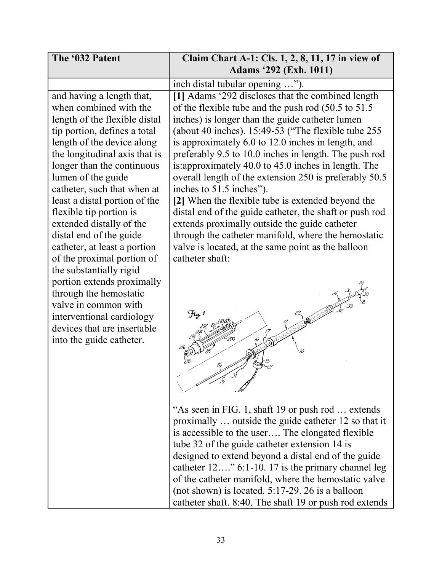| The '032 Patent               | Claim Chart A-1: Cls. 1, 2, 8, 11, 17 in view of        |
|-------------------------------|---------------------------------------------------------|
|                               | <b>Adams '292 (Exh. 1011)</b>                           |
|                               | inch distal tubular opening ").                         |
| and having a length that,     | [1] Adams '292 discloses that the combined length       |
| when combined with the        | of the flexible tube and the push rod (50.5 to 51.5)    |
| length of the flexible distal | inches) is longer than the guide catheter lumen         |
| tip portion, defines a total  | (about 40 inches). $15:49-53$ ("The flexible tube 255   |
| length of the device along    | is approximately 6.0 to 12.0 inches in length, and      |
| the longitudinal axis that is | preferably 9.5 to 10.0 inches in length. The push rod   |
| longer than the continuous    | is: approximately 40.0 to 45.0 inches in length. The    |
| lumen of the guide            | overall length of the extension 250 is preferably 50.5  |
| catheter, such that when at   | inches to 51.5 inches").                                |
| least a distal portion of the | [2] When the flexible tube is extended beyond the       |
| flexible tip portion is       | distal end of the guide catheter, the shaft or push rod |
| extended distally of the      | extends proximally outside the guide catheter           |
| distal end of the guide       | through the catheter manifold, where the hemostatic     |
| catheter, at least a portion  | valve is located, at the same point as the balloon      |
| of the proximal portion of    | catheter shaft:                                         |
| the substantially rigid       |                                                         |
| portion extends proximally    |                                                         |
| through the hemostatic        |                                                         |
| valve in common with          |                                                         |
| interventional cardiology     | $\mathcal{F}_{lq}$                                      |
| devices that are insertable   |                                                         |
| into the guide catheter.      |                                                         |
|                               |                                                         |
|                               |                                                         |
|                               |                                                         |
|                               |                                                         |
|                               |                                                         |
|                               | "As seen in FIG. 1, shaft 19 or push rod  extends       |
|                               | proximally  outside the guide catheter 12 so that it    |
|                               | is accessible to the user The elongated flexible        |
|                               | tube 32 of the guide catheter extension 14 is           |
|                               | designed to extend beyond a distal end of the guide     |
|                               | catheter $12$ 6:1-10. 17 is the primary channel leg     |
|                               | of the catheter manifold, where the hemostatic valve    |
|                               | (not shown) is located. $5:17-29$ . 26 is a balloon     |
|                               | catheter shaft. 8:40. The shaft 19 or push rod extends  |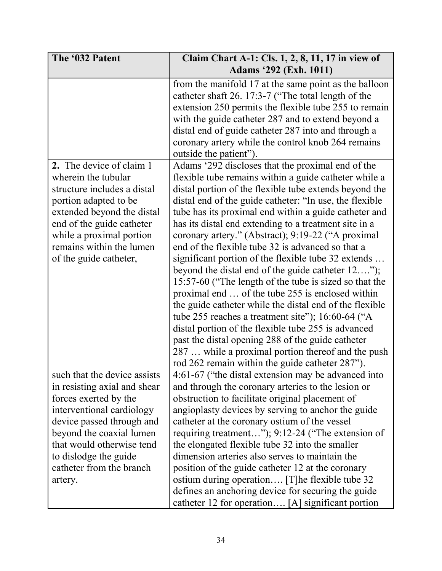| The '032 Patent                                                                                                                                                                                                                                                          | Claim Chart A-1: Cls. 1, 2, 8, 11, 17 in view of                                                                                                                                                                                                                                                                                                                                                                                                                                                                                                                                                                                                                                                                                                                                                                                                                                                                                                                                                                                                                                                                                                                                                                                                                                           |
|--------------------------------------------------------------------------------------------------------------------------------------------------------------------------------------------------------------------------------------------------------------------------|--------------------------------------------------------------------------------------------------------------------------------------------------------------------------------------------------------------------------------------------------------------------------------------------------------------------------------------------------------------------------------------------------------------------------------------------------------------------------------------------------------------------------------------------------------------------------------------------------------------------------------------------------------------------------------------------------------------------------------------------------------------------------------------------------------------------------------------------------------------------------------------------------------------------------------------------------------------------------------------------------------------------------------------------------------------------------------------------------------------------------------------------------------------------------------------------------------------------------------------------------------------------------------------------|
|                                                                                                                                                                                                                                                                          | <b>Adams '292 (Exh. 1011)</b>                                                                                                                                                                                                                                                                                                                                                                                                                                                                                                                                                                                                                                                                                                                                                                                                                                                                                                                                                                                                                                                                                                                                                                                                                                                              |
| 2. The device of claim 1<br>wherein the tubular<br>structure includes a distal<br>portion adapted to be<br>extended beyond the distal<br>end of the guide catheter<br>while a proximal portion<br>remains within the lumen<br>of the guide catheter,                     | from the manifold 17 at the same point as the balloon<br>catheter shaft 26. 17:3-7 ("The total length of the<br>extension 250 permits the flexible tube 255 to remain<br>with the guide catheter 287 and to extend beyond a<br>distal end of guide catheter 287 into and through a<br>coronary artery while the control knob 264 remains<br>outside the patient").<br>Adams '292 discloses that the proximal end of the<br>flexible tube remains within a guide catheter while a<br>distal portion of the flexible tube extends beyond the<br>distal end of the guide catheter: "In use, the flexible<br>tube has its proximal end within a guide catheter and<br>has its distal end extending to a treatment site in a<br>coronary artery." (Abstract); 9:19-22 ("A proximal<br>end of the flexible tube 32 is advanced so that a<br>significant portion of the flexible tube 32 extends<br>beyond the distal end of the guide catheter 12");<br>15:57-60 ("The length of the tube is sized so that the<br>proximal end  of the tube 255 is enclosed within<br>the guide catheter while the distal end of the flexible<br>tube 255 reaches a treatment site"); $16:60-64$ ("A<br>distal portion of the flexible tube 255 is advanced<br>past the distal opening 288 of the guide catheter |
|                                                                                                                                                                                                                                                                          | 287  while a proximal portion thereof and the push<br>rod 262 remain within the guide catheter 287").                                                                                                                                                                                                                                                                                                                                                                                                                                                                                                                                                                                                                                                                                                                                                                                                                                                                                                                                                                                                                                                                                                                                                                                      |
| such that the device assists<br>in resisting axial and shear<br>forces exerted by the<br>interventional cardiology<br>device passed through and<br>beyond the coaxial lumen<br>that would otherwise tend<br>to dislodge the guide<br>catheter from the branch<br>artery. | 4:61-67 ("the distal extension may be advanced into<br>and through the coronary arteries to the lesion or<br>obstruction to facilitate original placement of<br>angioplasty devices by serving to anchor the guide<br>catheter at the coronary ostium of the vessel<br>requiring treatment"); 9:12-24 ("The extension of<br>the elongated flexible tube 32 into the smaller<br>dimension arteries also serves to maintain the<br>position of the guide catheter 12 at the coronary<br>ostium during operation [T] he flexible tube 32<br>defines an anchoring device for securing the guide<br>catheter 12 for operation [A] significant portion                                                                                                                                                                                                                                                                                                                                                                                                                                                                                                                                                                                                                                           |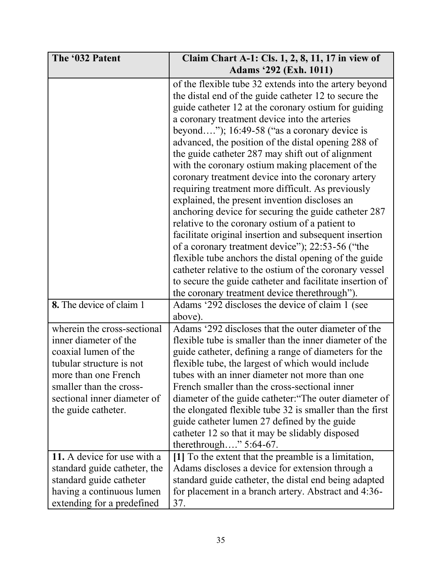| The '032 Patent                                                                                                                                                                                                   | Claim Chart A-1: Cls. 1, 2, 8, 11, 17 in view of                                                                                                                                                                                                                                                                                                                                                                                                                                                                                                                                                                                                                                                                                                                                                                                                                                                                          |
|-------------------------------------------------------------------------------------------------------------------------------------------------------------------------------------------------------------------|---------------------------------------------------------------------------------------------------------------------------------------------------------------------------------------------------------------------------------------------------------------------------------------------------------------------------------------------------------------------------------------------------------------------------------------------------------------------------------------------------------------------------------------------------------------------------------------------------------------------------------------------------------------------------------------------------------------------------------------------------------------------------------------------------------------------------------------------------------------------------------------------------------------------------|
|                                                                                                                                                                                                                   |                                                                                                                                                                                                                                                                                                                                                                                                                                                                                                                                                                                                                                                                                                                                                                                                                                                                                                                           |
|                                                                                                                                                                                                                   | <b>Adams '292 (Exh. 1011)</b><br>of the flexible tube 32 extends into the artery beyond<br>the distal end of the guide catheter 12 to secure the<br>guide catheter 12 at the coronary ostium for guiding<br>a coronary treatment device into the arteries<br>beyond"); $16:49-58$ ("as a coronary device is<br>advanced, the position of the distal opening 288 of<br>the guide catheter 287 may shift out of alignment<br>with the coronary ostium making placement of the<br>coronary treatment device into the coronary artery<br>requiring treatment more difficult. As previously<br>explained, the present invention discloses an<br>anchoring device for securing the guide catheter 287<br>relative to the coronary ostium of a patient to<br>facilitate original insertion and subsequent insertion<br>of a coronary treatment device"); 22:53-56 ("the<br>flexible tube anchors the distal opening of the guide |
|                                                                                                                                                                                                                   | catheter relative to the ostium of the coronary vessel<br>to secure the guide catheter and facilitate insertion of<br>the coronary treatment device therethrough").                                                                                                                                                                                                                                                                                                                                                                                                                                                                                                                                                                                                                                                                                                                                                       |
| 8. The device of claim 1                                                                                                                                                                                          | Adams '292 discloses the device of claim 1 (see<br>above).                                                                                                                                                                                                                                                                                                                                                                                                                                                                                                                                                                                                                                                                                                                                                                                                                                                                |
| wherein the cross-sectional<br>inner diameter of the<br>coaxial lumen of the<br>tubular structure is not<br>more than one French<br>smaller than the cross-<br>sectional inner diameter of<br>the guide catheter. | Adams '292 discloses that the outer diameter of the<br>flexible tube is smaller than the inner diameter of the<br>guide catheter, defining a range of diameters for the<br>flexible tube, the largest of which would include<br>tubes with an inner diameter not more than one<br>French smaller than the cross-sectional inner<br>diameter of the guide catheter: "The outer diameter of<br>the elongated flexible tube 32 is smaller than the first<br>guide catheter lumen 27 defined by the guide<br>catheter 12 so that it may be slidably disposed<br>therethrough" $5:64-67$ .                                                                                                                                                                                                                                                                                                                                     |
| 11. A device for use with a<br>standard guide catheter, the<br>standard guide catheter<br>having a continuous lumen<br>extending for a predefined                                                                 | [1] To the extent that the preamble is a limitation,<br>Adams discloses a device for extension through a<br>standard guide catheter, the distal end being adapted<br>for placement in a branch artery. Abstract and 4:36-<br>37.                                                                                                                                                                                                                                                                                                                                                                                                                                                                                                                                                                                                                                                                                          |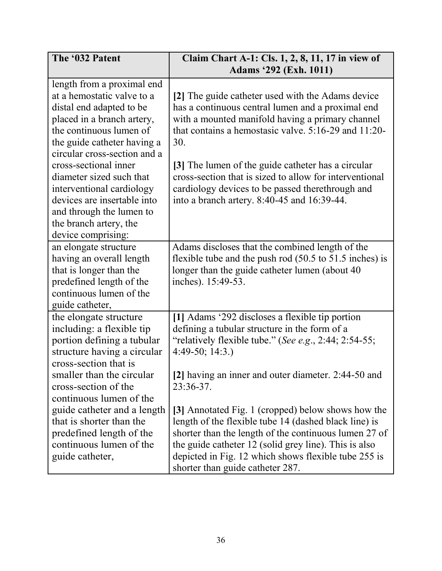| The '032 Patent                                                                                                                                                                                                                                                                                                                                           | Claim Chart A-1: Cls. 1, 2, 8, 11, 17 in view of<br><b>Adams '292 (Exh. 1011)</b>                                                                                                                                                                                                                                                                                                                                                                 |
|-----------------------------------------------------------------------------------------------------------------------------------------------------------------------------------------------------------------------------------------------------------------------------------------------------------------------------------------------------------|---------------------------------------------------------------------------------------------------------------------------------------------------------------------------------------------------------------------------------------------------------------------------------------------------------------------------------------------------------------------------------------------------------------------------------------------------|
|                                                                                                                                                                                                                                                                                                                                                           |                                                                                                                                                                                                                                                                                                                                                                                                                                                   |
| length from a proximal end<br>at a hemostatic valve to a<br>distal end adapted to be<br>placed in a branch artery,<br>the continuous lumen of<br>the guide catheter having a<br>circular cross-section and a<br>cross-sectional inner<br>diameter sized such that<br>interventional cardiology<br>devices are insertable into<br>and through the lumen to | [2] The guide catheter used with the Adams device<br>has a continuous central lumen and a proximal end<br>with a mounted manifold having a primary channel<br>that contains a hemostasic valve. $5:16-29$ and $11:20-$<br>30.<br>[3] The lumen of the guide catheter has a circular<br>cross-section that is sized to allow for interventional<br>cardiology devices to be passed therethrough and<br>into a branch artery. 8:40-45 and 16:39-44. |
| the branch artery, the                                                                                                                                                                                                                                                                                                                                    |                                                                                                                                                                                                                                                                                                                                                                                                                                                   |
| device comprising:                                                                                                                                                                                                                                                                                                                                        |                                                                                                                                                                                                                                                                                                                                                                                                                                                   |
| an elongate structure<br>having an overall length<br>that is longer than the<br>predefined length of the<br>continuous lumen of the<br>guide catheter,                                                                                                                                                                                                    | Adams discloses that the combined length of the<br>flexible tube and the push rod $(50.5 \text{ to } 51.5 \text{ inches})$ is<br>longer than the guide catheter lumen (about 40)<br>inches). 15:49-53.                                                                                                                                                                                                                                            |
| the elongate structure<br>including: a flexible tip<br>portion defining a tubular<br>structure having a circular<br>cross-section that is<br>smaller than the circular<br>cross-section of the                                                                                                                                                            | [1] Adams '292 discloses a flexible tip portion<br>defining a tubular structure in the form of a<br>"relatively flexible tube." (See e.g., 2:44; 2:54-55;<br>$4:49-50; 14:3.)$<br>[2] having an inner and outer diameter. 2:44-50 and<br>23:36-37.                                                                                                                                                                                                |
| continuous lumen of the<br>guide catheter and a length<br>that is shorter than the<br>predefined length of the<br>continuous lumen of the<br>guide catheter,                                                                                                                                                                                              | [3] Annotated Fig. 1 (cropped) below shows how the<br>length of the flexible tube 14 (dashed black line) is<br>shorter than the length of the continuous lumen 27 of<br>the guide catheter 12 (solid grey line). This is also<br>depicted in Fig. 12 which shows flexible tube 255 is<br>shorter than guide catheter 287.                                                                                                                         |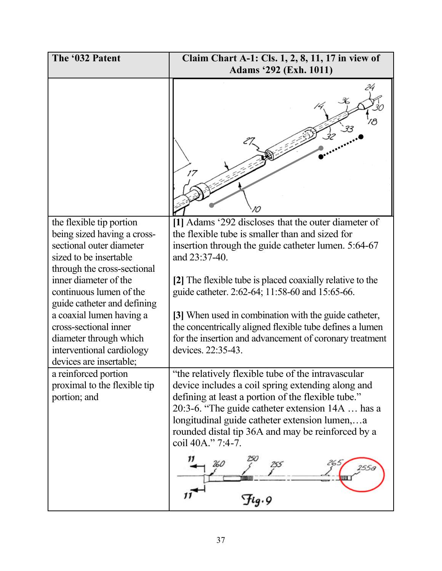| The '032 Patent                                                                                                                              | Claim Chart A-1: Cls. 1, 2, 8, 11, 17 in view of                                                                                                                                                                                                                                                                                             |
|----------------------------------------------------------------------------------------------------------------------------------------------|----------------------------------------------------------------------------------------------------------------------------------------------------------------------------------------------------------------------------------------------------------------------------------------------------------------------------------------------|
|                                                                                                                                              | <b>Adams '292 (Exh. 1011)</b>                                                                                                                                                                                                                                                                                                                |
|                                                                                                                                              | 17                                                                                                                                                                                                                                                                                                                                           |
| the flexible tip portion<br>being sized having a cross-<br>sectional outer diameter<br>sized to be insertable<br>through the cross-sectional | [1] Adams '292 discloses that the outer diameter of<br>the flexible tube is smaller than and sized for<br>insertion through the guide catheter lumen. 5:64-67<br>and 23:37-40.                                                                                                                                                               |
| inner diameter of the<br>continuous lumen of the<br>guide catheter and defining                                                              | [2] The flexible tube is placed coaxially relative to the<br>guide catheter. 2:62-64; 11:58-60 and 15:65-66.                                                                                                                                                                                                                                 |
| a coaxial lumen having a<br>cross-sectional inner<br>diameter through which<br>interventional cardiology<br>devices are insertable;          | [3] When used in combination with the guide catheter,<br>the concentrically aligned flexible tube defines a lumen<br>for the insertion and advancement of coronary treatment<br>devices. 22:35-43.                                                                                                                                           |
| a reinforced portion<br>proximal to the flexible tip<br>portion; and                                                                         | "the relatively flexible tube of the intravascular<br>device includes a coil spring extending along and<br>defining at least a portion of the flexible tube."<br>20:3-6. "The guide catheter extension 14A  has a<br>longitudinal guide catheter extension lumen,a<br>rounded distal tip 36A and may be reinforced by a<br>coil 40A." 7:4-7. |
|                                                                                                                                              | 260<br>$\mathcal{F}$ ig.9                                                                                                                                                                                                                                                                                                                    |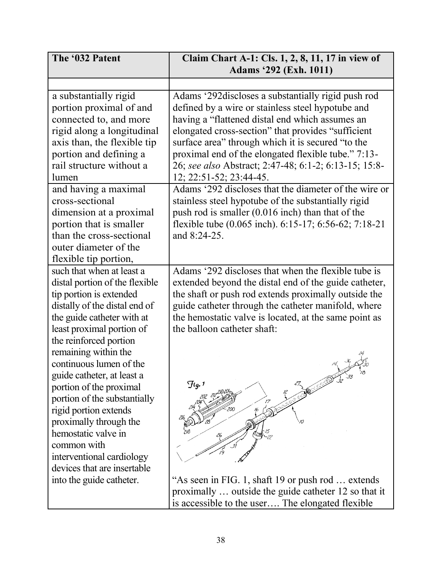| The '032 Patent                               | Claim Chart A-1: Cls. 1, 2, 8, 11, 17 in view of             |
|-----------------------------------------------|--------------------------------------------------------------|
|                                               | <b>Adams '292 (Exh. 1011)</b>                                |
|                                               |                                                              |
| a substantially rigid                         | Adams '292discloses a substantially rigid push rod           |
| portion proximal of and                       | defined by a wire or stainless steel hypotube and            |
| connected to, and more                        | having a "flattened distal end which assumes an              |
| rigid along a longitudinal                    | elongated cross-section" that provides "sufficient           |
| axis than, the flexible tip                   | surface area" through which it is secured "to the            |
| portion and defining a                        | proximal end of the elongated flexible tube." 7:13-          |
| rail structure without a                      | 26; see also Abstract; 2:47-48; 6:1-2; 6:13-15; 15:8-        |
| lumen                                         | 12; 22:51-52; 23:44-45.                                      |
| and having a maximal                          | Adams '292 discloses that the diameter of the wire or        |
| cross-sectional                               | stainless steel hypotube of the substantially rigid          |
| dimension at a proximal                       | push rod is smaller (0.016 inch) than that of the            |
| portion that is smaller                       | flexible tube (0.065 inch). 6:15-17; 6:56-62; 7:18-21        |
| than the cross-sectional                      | and 8:24-25.                                                 |
| outer diameter of the                         |                                                              |
| flexible tip portion,                         |                                                              |
| such that when at least a                     | Adams '292 discloses that when the flexible tube is          |
| distal portion of the flexible                | extended beyond the distal end of the guide catheter,        |
| tip portion is extended                       | the shaft or push rod extends proximally outside the         |
| distally of the distal end of                 | guide catheter through the catheter manifold, where          |
| the guide catheter with at                    | the hemostatic valve is located, at the same point as        |
| least proximal portion of                     | the balloon catheter shaft:                                  |
| the reinforced portion                        |                                                              |
| remaining within the                          |                                                              |
| continuous lumen of the                       |                                                              |
| guide catheter, at least a                    | 33<br>$\frac{1}{32}$<br>ACT OF STREET<br>$\mathcal{F}$ lg. 1 |
| portion of the proximal                       |                                                              |
| portion of the substantially                  |                                                              |
| rigid portion extends                         |                                                              |
| proximally through the<br>hemostatic valve in |                                                              |
| common with                                   |                                                              |
| interventional cardiology                     |                                                              |
| devices that are insertable                   |                                                              |
| into the guide catheter.                      | "As seen in FIG. 1, shaft 19 or push rod  extends            |
|                                               | proximally  outside the guide catheter 12 so that it         |
|                                               | is accessible to the user The elongated flexible             |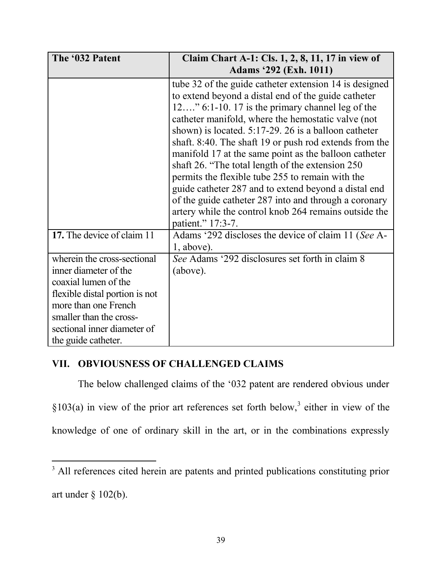| The '032 Patent                                        | Claim Chart A-1: Cls. 1, 2, 8, 11, 17 in view of       |
|--------------------------------------------------------|--------------------------------------------------------|
|                                                        | <b>Adams</b> '292 (Exh. 1011)                          |
|                                                        | tube 32 of the guide catheter extension 14 is designed |
|                                                        | to extend beyond a distal end of the guide catheter    |
|                                                        | $12$ " 6:1-10. 17 is the primary channel leg of the    |
|                                                        | catheter manifold, where the hemostatic valve (not     |
|                                                        | shown) is located. 5:17-29. 26 is a balloon catheter   |
|                                                        | shaft. 8:40. The shaft 19 or push rod extends from the |
|                                                        | manifold 17 at the same point as the balloon catheter  |
|                                                        | shaft 26. "The total length of the extension 250       |
|                                                        | permits the flexible tube 255 to remain with the       |
|                                                        | guide catheter 287 and to extend beyond a distal end   |
|                                                        | of the guide catheter 287 into and through a coronary  |
|                                                        | artery while the control knob 264 remains outside the  |
|                                                        | patient." 17:3-7.                                      |
| 17. The device of claim 11                             | Adams '292 discloses the device of claim 11 (See A-    |
| wherein the cross-sectional                            | $1$ , above).                                          |
|                                                        | See Adams '292 disclosures set forth in claim 8        |
| inner diameter of the<br>coaxial lumen of the          | (above).                                               |
|                                                        |                                                        |
| flexible distal portion is not<br>more than one French |                                                        |
|                                                        |                                                        |
| smaller than the cross-                                |                                                        |
| sectional inner diameter of                            |                                                        |
| the guide catheter.                                    |                                                        |

# VII. OBVIOUSNESS OF CHALLENGED CLAIMS

The below challenged claims of the '032 patent are rendered obvious under  $\S 103(a)$  in view of the prior art references set forth below,<sup>3</sup> either in view of the knowledge of one of ordinary skill in the art, or in the combinations expressly

<sup>&</sup>lt;sup>3</sup> All references cited herein are patents and printed publications constituting prior art under  $\S$  102(b).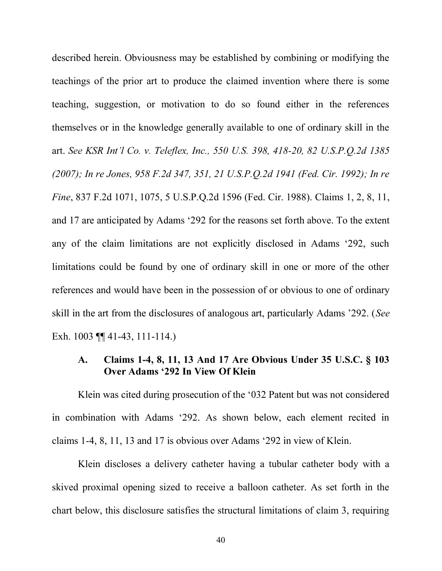described herein. Obviousness may be established by combining or modifying the teachings of the prior art to produce the claimed invention where there is some teaching, suggestion, or motivation to do so found either in the references themselves or in the knowledge generally available to one of ordinary skill in the art. See KSR Int'l Co. v. Teleflex, Inc., 550 U.S. 398, 418-20, 82 U.S.P.O.2d 1385 *(2007); In re Jones, 958 F.2d 347, 351, 21 U.S.P.Q.2d 1941 (Fed. Cir. 1992); In re Fine*, 837 F.2d 1071, 1075, 5 U.S.P.Q.2d 1596 (Fed. Cir. 1988). Claims 1, 2, 8, 11, and 17 are anticipated by Adams '292 for the reasons set forth above. To the extent any of the claim limitations are not explicitly disclosed in Adams  $292$ , such limitations could be found by one of ordinary skill in one or more of the other references and would have been in the possession of or obvious to one of ordinary skill in the art from the disclosures of analogous art, particularly Adams '292. (*See* Exh. 1003 **[141-43, 111-114.**)

# /& **Claims 1-4, 8, 11, 13 And 17 Are Obvious Under 35 U.S.C. § 103** Over Adams '292 In View Of Klein

Klein was cited during prosecution of the '032 Patent but was not considered in combination with Adams '292. As shown below, each element recited in claims 1-4, 8, 11, 13 and 17 is obvious over Adams  $292$  in view of Klein.

Klein discloses a delivery catheter having a tubular catheter body with a skived proximal opening sized to receive a balloon catheter. As set forth in the chart below, this disclosure satisfies the structural limitations of claim 3, requiring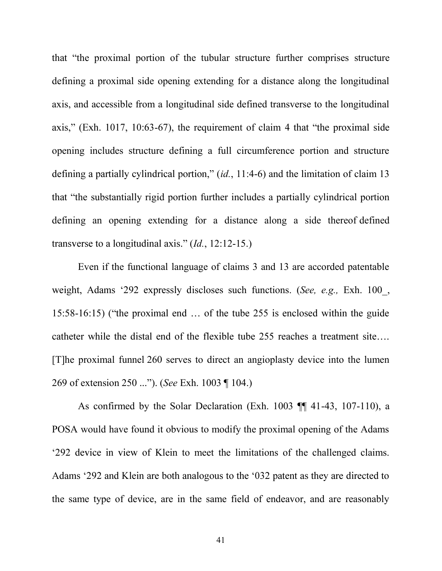that "the proximal portion of the tubular structure further comprises structure defining a proximal side opening extending for a distance along the longitudinal axis, and accessible from a longitudinal side defined transverse to the longitudinal axis," (Exh. 1017, 10:63-67), the requirement of claim 4 that "the proximal side opening includes structure defining a full circumference portion and structure defining a partially cylindrical portion,"  $(id, 11:4-6)$  and the limitation of claim 13 that "the substantially rigid portion further includes a partially cylindrical portion defining an opening extending for a distance along a side thereof defined transverse to a longitudinal axis."  $(Id., 12:12-15.)$ 

Even if the functional language of claims 3 and 13 are accorded patentable weight, Adams '292 expressly discloses such functions. (*See, e.g.,* Exh. 100, 15:58-16:15) ("the proximal end  $\ldots$  of the tube 255 is enclosed within the guide catheter while the distal end of the flexible tube 255 reaches a treatment site.... [T]he proximal funnel 260 serves to direct an angioplasty device into the lumen 269 of extension 250 ..."). (See Exh. 1003 ¶ 104.)

As confirmed by the Solar Declaration (Exh. 1003 ¶¶ 41-43, 107-110), a POSA would have found it obvious to modify the proximal opening of the Adams Equilibrary 292 device in view of Klein to meet the limitations of the challenged claims. 6.4 Adams '292 and Klein are both analogous to the '032 patent as they are directed to the same type of device, are in the same field of endeavor, and are reasonably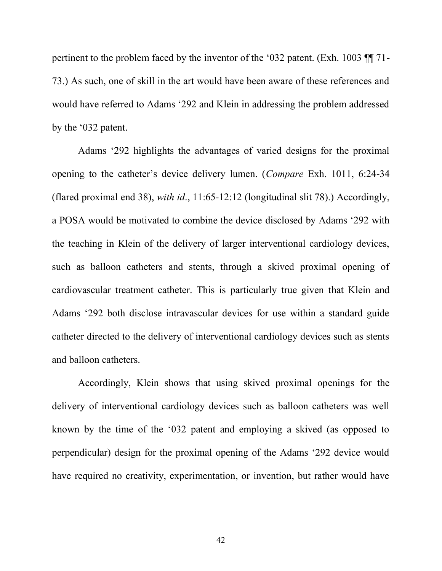pertinent to the problem faced by the inventor of the '032 patent. (Exh. 1003  $\P$ ] 71-73.) As such, one of skill in the art would have been aware of these references and would have referred to Adams '292 and Klein in addressing the problem addressed by the  $\dot{\theta}$  032 patent.

Adams '292 highlights the advantages of varied designs for the proximal opening to the catheter's device delivery lumen. (*Compare* Exh. 1011, 6:24-34 (flared proximal end 38), *with id*., 11:65-12:12 (longitudinal slit 78).) Accordingly, a POSA would be motivated to combine the device disclosed by Adams '292 with the teaching in Klein of the delivery of larger interventional cardiology devices, such as balloon catheters and stents, through a skived proximal opening of cardiovascular treatment catheter. This is particularly true given that Klein and Adams '292 both disclose intravascular devices for use within a standard guide catheter directed to the delivery of interventional cardiology devices such as stents and balloon catheters.

Accordingly, Klein shows that using skived proximal openings for the delivery of interventional cardiology devices such as balloon catheters was well known by the time of the '032 patent and employing a skived (as opposed to perpendicular) design for the proximal opening of the Adams '292 device would have required no creativity, experimentation, or invention, but rather would have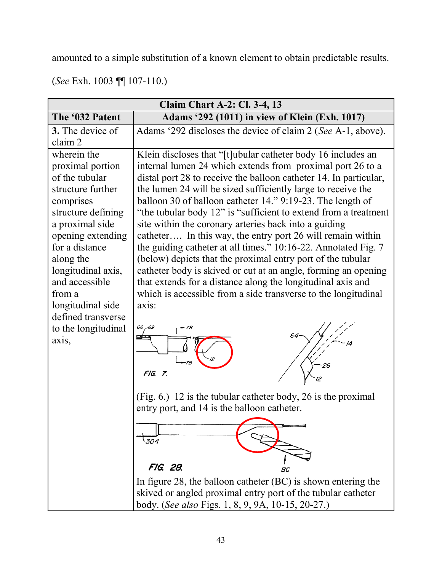amounted to a simple substitution of a known element to obtain predictable results.

|  |  | (See Exh. 1003 $\P$ 107-110.) |
|--|--|-------------------------------|
|--|--|-------------------------------|

| <b>Claim Chart A-2: Cl. 3-4, 13</b>                                                                                                                                                                                                                                                                           |                                                                                                                                                                                                                                                                                                                                                                                                                                                                                                                                                                                                                                                                                                                                                                                                                                                                                              |  |
|---------------------------------------------------------------------------------------------------------------------------------------------------------------------------------------------------------------------------------------------------------------------------------------------------------------|----------------------------------------------------------------------------------------------------------------------------------------------------------------------------------------------------------------------------------------------------------------------------------------------------------------------------------------------------------------------------------------------------------------------------------------------------------------------------------------------------------------------------------------------------------------------------------------------------------------------------------------------------------------------------------------------------------------------------------------------------------------------------------------------------------------------------------------------------------------------------------------------|--|
| The '032 Patent                                                                                                                                                                                                                                                                                               | Adams '292 (1011) in view of Klein (Exh. 1017)                                                                                                                                                                                                                                                                                                                                                                                                                                                                                                                                                                                                                                                                                                                                                                                                                                               |  |
| 3. The device of<br>claim 2                                                                                                                                                                                                                                                                                   | Adams '292 discloses the device of claim 2 (See A-1, above).                                                                                                                                                                                                                                                                                                                                                                                                                                                                                                                                                                                                                                                                                                                                                                                                                                 |  |
| wherein the<br>proximal portion<br>of the tubular<br>structure further<br>comprises<br>structure defining<br>a proximal side<br>opening extending<br>for a distance<br>along the<br>longitudinal axis,<br>and accessible<br>from a<br>longitudinal side<br>defined transverse<br>to the longitudinal<br>axis, | Klein discloses that "[t] ubular catheter body 16 includes an<br>internal lumen 24 which extends from proximal port 26 to a<br>distal port 28 to receive the balloon catheter 14. In particular,<br>the lumen 24 will be sized sufficiently large to receive the<br>balloon 30 of balloon catheter 14." 9:19-23. The length of<br>"the tubular body 12" is "sufficient to extend from a treatment"<br>site within the coronary arteries back into a guiding<br>catheter In this way, the entry port 26 will remain within<br>the guiding catheter at all times." 10:16-22. Annotated Fig. 7<br>(below) depicts that the proximal entry port of the tubular<br>catheter body is skived or cut at an angle, forming an opening<br>that extends for a distance along the longitudinal axis and<br>which is accessible from a side transverse to the longitudinal<br>axis:<br>66 - 69<br>FIG. 7. |  |
|                                                                                                                                                                                                                                                                                                               | (Fig. 6.) 12 is the tubular catheter body, 26 is the proximal<br>entry port, and 14 is the balloon catheter.<br>304<br>FIG. 28.<br>BC<br>In figure 28, the balloon catheter $(BC)$ is shown entering the<br>skived or angled proximal entry port of the tubular catheter<br>body. (See also Figs. 1, 8, 9, 9A, 10-15, 20-27.)                                                                                                                                                                                                                                                                                                                                                                                                                                                                                                                                                                |  |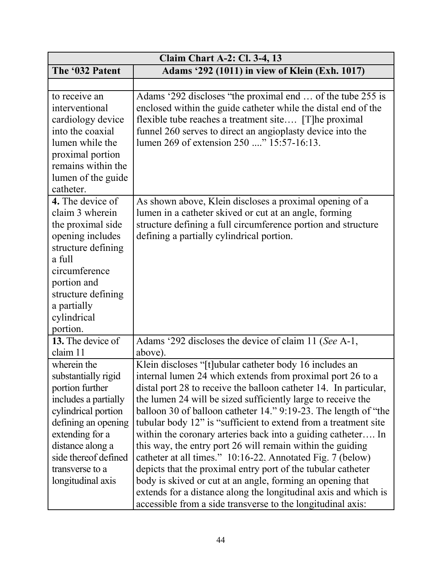| <b>Claim Chart A-2: Cl. 3-4, 13</b>                                                                                                                                                                                                |                                                                                                                                                                                                                                                                                                                                                                                                                                                                                                                                                                                                                                                                                                                                                                                                                                                              |  |
|------------------------------------------------------------------------------------------------------------------------------------------------------------------------------------------------------------------------------------|--------------------------------------------------------------------------------------------------------------------------------------------------------------------------------------------------------------------------------------------------------------------------------------------------------------------------------------------------------------------------------------------------------------------------------------------------------------------------------------------------------------------------------------------------------------------------------------------------------------------------------------------------------------------------------------------------------------------------------------------------------------------------------------------------------------------------------------------------------------|--|
| The '032 Patent                                                                                                                                                                                                                    | Adams '292 (1011) in view of Klein (Exh. 1017)                                                                                                                                                                                                                                                                                                                                                                                                                                                                                                                                                                                                                                                                                                                                                                                                               |  |
|                                                                                                                                                                                                                                    |                                                                                                                                                                                                                                                                                                                                                                                                                                                                                                                                                                                                                                                                                                                                                                                                                                                              |  |
| to receive an<br>interventional<br>cardiology device<br>into the coaxial<br>lumen while the<br>proximal portion<br>remains within the<br>lumen of the guide<br>catheter.                                                           | Adams '292 discloses "the proximal end  of the tube 255 is<br>enclosed within the guide catheter while the distal end of the<br>flexible tube reaches a treatment site [T]he proximal<br>funnel 260 serves to direct an angioplasty device into the<br>lumen 269 of extension 250 " 15:57-16:13.                                                                                                                                                                                                                                                                                                                                                                                                                                                                                                                                                             |  |
| 4. The device of<br>claim 3 wherein<br>the proximal side<br>opening includes<br>structure defining<br>a full<br>circumference<br>portion and<br>structure defining<br>a partially<br>cylindrical<br>portion.                       | As shown above, Klein discloses a proximal opening of a<br>lumen in a catheter skived or cut at an angle, forming<br>structure defining a full circumference portion and structure<br>defining a partially cylindrical portion.                                                                                                                                                                                                                                                                                                                                                                                                                                                                                                                                                                                                                              |  |
| 13. The device of<br>claim 11                                                                                                                                                                                                      | Adams '292 discloses the device of claim 11 (See A-1,<br>above).                                                                                                                                                                                                                                                                                                                                                                                                                                                                                                                                                                                                                                                                                                                                                                                             |  |
| wherein the<br>substantially rigid<br>portion further<br>includes a partially<br>cylindrical portion<br>defining an opening<br>extending for a<br>distance along a<br>side thereof defined<br>transverse to a<br>longitudinal axis | Klein discloses "[t]ubular catheter body 16 includes an<br>internal lumen 24 which extends from proximal port 26 to a<br>distal port 28 to receive the balloon catheter 14. In particular,<br>the lumen 24 will be sized sufficiently large to receive the<br>balloon 30 of balloon catheter 14." 9:19-23. The length of "the<br>tubular body 12" is "sufficient to extend from a treatment site<br>within the coronary arteries back into a guiding catheter In<br>this way, the entry port 26 will remain within the guiding<br>catheter at all times." 10:16-22. Annotated Fig. 7 (below)<br>depicts that the proximal entry port of the tubular catheter<br>body is skived or cut at an angle, forming an opening that<br>extends for a distance along the longitudinal axis and which is<br>accessible from a side transverse to the longitudinal axis: |  |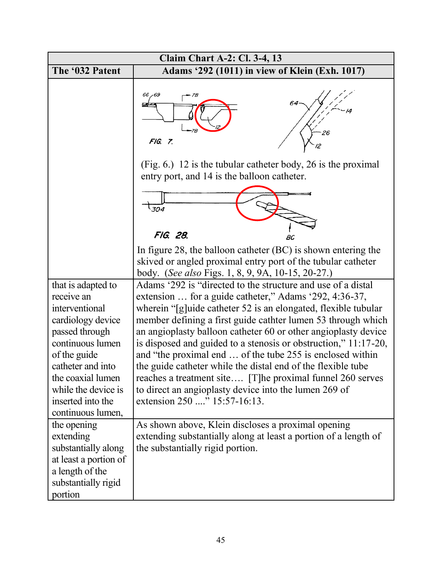| <b>Claim Chart A-2: Cl. 3-4, 13</b>                                                                                                                                                                                                      |                                                                                                                                                                                                                                                                                                                                                                                                                                                                                                                                                                                                                                                                                  |  |
|------------------------------------------------------------------------------------------------------------------------------------------------------------------------------------------------------------------------------------------|----------------------------------------------------------------------------------------------------------------------------------------------------------------------------------------------------------------------------------------------------------------------------------------------------------------------------------------------------------------------------------------------------------------------------------------------------------------------------------------------------------------------------------------------------------------------------------------------------------------------------------------------------------------------------------|--|
| The '032 Patent                                                                                                                                                                                                                          | Adams '292 (1011) in view of Klein (Exh. 1017)                                                                                                                                                                                                                                                                                                                                                                                                                                                                                                                                                                                                                                   |  |
|                                                                                                                                                                                                                                          | 66 - 69<br>7B<br>FIG. 7.                                                                                                                                                                                                                                                                                                                                                                                                                                                                                                                                                                                                                                                         |  |
|                                                                                                                                                                                                                                          | $(Fig. 6.)$ 12 is the tubular catheter body, 26 is the proximal<br>entry port, and 14 is the balloon catheter.                                                                                                                                                                                                                                                                                                                                                                                                                                                                                                                                                                   |  |
|                                                                                                                                                                                                                                          | $\frac{1}{304}$                                                                                                                                                                                                                                                                                                                                                                                                                                                                                                                                                                                                                                                                  |  |
|                                                                                                                                                                                                                                          | FIG. 28.<br>BC                                                                                                                                                                                                                                                                                                                                                                                                                                                                                                                                                                                                                                                                   |  |
|                                                                                                                                                                                                                                          | In figure 28, the balloon catheter $(BC)$ is shown entering the<br>skived or angled proximal entry port of the tubular catheter<br>body. (See also Figs. 1, 8, 9, 9A, 10-15, 20-27.)                                                                                                                                                                                                                                                                                                                                                                                                                                                                                             |  |
| that is adapted to<br>receive an<br>interventional<br>cardiology device<br>passed through<br>continuous lumen<br>of the guide<br>catheter and into<br>the coaxial lumen<br>while the device is<br>inserted into the<br>continuous lumen, | Adams '292 is "directed to the structure and use of a distal<br>extension  for a guide catheter," Adams '292, 4:36-37,<br>wherein "[g]uide catheter 52 is an elongated, flexible tubular<br>member defining a first guide cathter lumen 53 through which<br>an angioplasty balloon catheter 60 or other angioplasty device<br>is disposed and guided to a stenosis or obstruction," 11:17-20,<br>and "the proximal end  of the tube 255 is enclosed within<br>the guide catheter while the distal end of the flexible tube<br>reaches a treatment site [T]he proximal funnel 260 serves<br>to direct an angioplasty device into the lumen 269 of<br>extension 250 " 15:57-16:13. |  |
| the opening<br>extending<br>substantially along<br>at least a portion of<br>a length of the<br>substantially rigid<br>portion                                                                                                            | As shown above, Klein discloses a proximal opening<br>extending substantially along at least a portion of a length of<br>the substantially rigid portion.                                                                                                                                                                                                                                                                                                                                                                                                                                                                                                                        |  |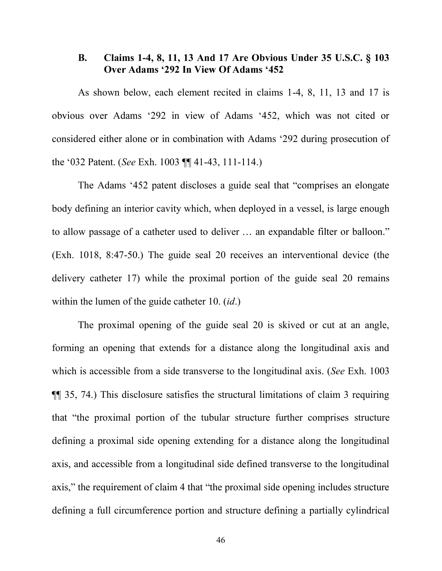# 0& **Claims 1-4, 8, 11, 13 And 17 Are Obvious Under 35 U.S.C. § 103** Over Adams '292 In View Of Adams '452

As shown below, each element recited in claims 1-4, 8, 11, 13 and 17 is obvious over Adams '292 in view of Adams '452, which was not cited or considered either alone or in combination with Adams  $292$  during prosecution of the '032 Patent. (*See* Exh. 1003 ¶¶ 41-43, 111-114.)

The Adams '452 patent discloses a guide seal that "comprises an elongate" body defining an interior cavity which, when deployed in a vessel, is large enough to allow passage of a catheter used to deliver  $\dots$  an expandable filter or balloon." (Exh. 1018, 8:47-50.) The guide seal 20 receives an interventional device (the delivery catheter 17) while the proximal portion of the guide seal 20 remains within the lumen of the guide catheter 10. (*id*.)

The proximal opening of the guide seal 20 is skived or cut at an angle, forming an opening that extends for a distance along the longitudinal axis and which is accessible from a side transverse to the longitudinal axis. (*See* Exh. 1003 ¶¶ 35, 74.) This disclosure satisfies the structural limitations of claim 3 requiring that "the proximal portion of the tubular structure further comprises structure defining a proximal side opening extending for a distance along the longitudinal axis, and accessible from a longitudinal side defined transverse to the longitudinal axis," the requirement of claim 4 that "the proximal side opening includes structure defining a full circumference portion and structure defining a partially cylindrical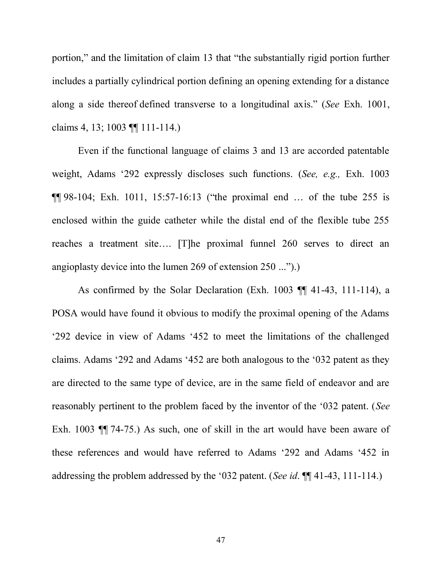portion," and the limitation of claim 13 that "the substantially rigid portion further includes a partially cylindrical portion defining an opening extending for a distance along a side thereof defined transverse to a longitudinal axis." (See Exh. 1001, claims 4, 13; 1003 ¶¶ 111-114.)

Even if the functional language of claims 3 and 13 are accorded patentable weight, Adams '292 expressly discloses such functions. (*See, e.g.,* Exh. 1003  $\P$ [98-104; Exh. 1011, 15:57-16:13 ("the proximal end ... of the tube 255 is enclosed within the guide catheter while the distal end of the flexible tube 255 reaches a treatment site.... [T]he proximal funnel  $260$  serves to direct an angioplasty device into the lumen 269 of extension  $250$  ...").)

As confirmed by the Solar Declaration (Exh. 1003 ¶¶ 41-43, 111-114), a POSA would have found it obvious to modify the proximal opening of the Adams '292 device in view of Adams '452 to meet the limitations of the challenged claims. Adams '292 and Adams '452 are both analogous to the '032 patent as they are directed to the same type of device, are in the same field of endeavor and are reasonably pertinent to the problem faced by the inventor of the '032 patent. (*See* Exh. 1003 ¶¶ 74-75.) As such, one of skill in the art would have been aware of these references and would have referred to Adams '292 and Adams '452 in addressing the problem addressed by the '032 patent. (*See id.*  $\P\P$  41-43, 111-114.)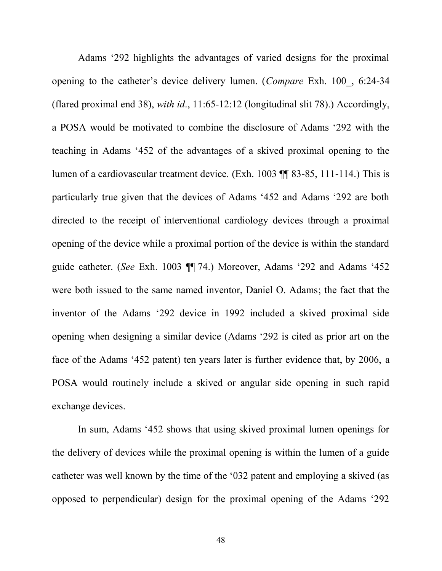Adams '292 highlights the advantages of varied designs for the proximal opening to the catheter's device delivery lumen. (*Compare* Exh. 100, 6:24-34 (flared proximal end 38), *with id*., 11:65-12:12 (longitudinal slit 78).) Accordingly, a POSA would be motivated to combine the disclosure of Adams '292 with the teaching in Adams '452 of the advantages of a skived proximal opening to the lumen of a cardiovascular treatment device. (Exh. 1003 ¶¶ 83-85, 111-114.) This is particularly true given that the devices of Adams '452 and Adams '292 are both directed to the receipt of interventional cardiology devices through a proximal opening of the device while a proximal portion of the device is within the standard guide catheter. (*See* Exh. 1003 ¶ 74.) Moreover, Adams '292 and Adams '452 were both issued to the same named inventor, Daniel O. Adams; the fact that the inventor of the Adams '292 device in 1992 included a skived proximal side opening when designing a similar device (Adams  $292$  is cited as prior art on the face of the Adams '452 patent) ten years later is further evidence that, by  $2006$ , a POSA would routinely include a skived or angular side opening in such rapid exchange devices.

In sum, Adams '452 shows that using skived proximal lumen openings for the delivery of devices while the proximal opening is within the lumen of a guide catheter was well known by the time of the '032 patent and employing a skived (as opposed to perpendicular) design for the proximal opening of the Adams  $292$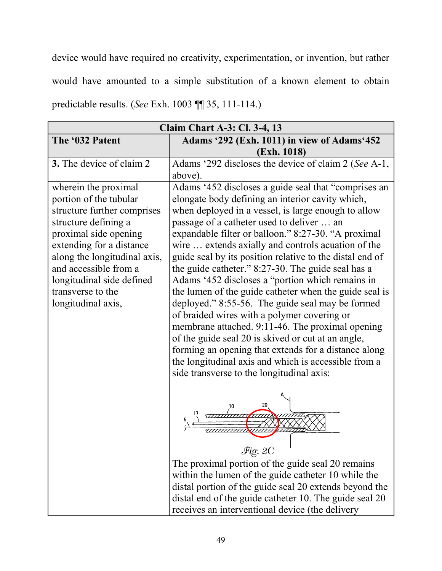device would have required no creativity, experimentation, or invention, but rather would have amounted to a simple substitution of a known element to obtain predictable results. (*See* Exh. 1003 ¶¶ 35, 111-114.)

| <b>Claim Chart A-3: Cl. 3-4, 13</b>                                                                                                                                                                                                                                                         |                                                                                                                                                                                                                                                                                                                                                                                                                                                                                                                                                                                                                                                                                                                                                                                                                                                                                                                                     |  |
|---------------------------------------------------------------------------------------------------------------------------------------------------------------------------------------------------------------------------------------------------------------------------------------------|-------------------------------------------------------------------------------------------------------------------------------------------------------------------------------------------------------------------------------------------------------------------------------------------------------------------------------------------------------------------------------------------------------------------------------------------------------------------------------------------------------------------------------------------------------------------------------------------------------------------------------------------------------------------------------------------------------------------------------------------------------------------------------------------------------------------------------------------------------------------------------------------------------------------------------------|--|
| The '032 Patent                                                                                                                                                                                                                                                                             | Adams '292 (Exh. 1011) in view of Adams'452                                                                                                                                                                                                                                                                                                                                                                                                                                                                                                                                                                                                                                                                                                                                                                                                                                                                                         |  |
|                                                                                                                                                                                                                                                                                             | (Exh. 1018)                                                                                                                                                                                                                                                                                                                                                                                                                                                                                                                                                                                                                                                                                                                                                                                                                                                                                                                         |  |
| 3. The device of claim 2                                                                                                                                                                                                                                                                    | Adams '292 discloses the device of claim 2 (See A-1,                                                                                                                                                                                                                                                                                                                                                                                                                                                                                                                                                                                                                                                                                                                                                                                                                                                                                |  |
|                                                                                                                                                                                                                                                                                             | above).                                                                                                                                                                                                                                                                                                                                                                                                                                                                                                                                                                                                                                                                                                                                                                                                                                                                                                                             |  |
| wherein the proximal<br>portion of the tubular<br>structure further comprises<br>structure defining a<br>proximal side opening<br>extending for a distance<br>along the longitudinal axis,<br>and accessible from a<br>longitudinal side defined<br>transverse to the<br>longitudinal axis, | Adams '452 discloses a guide seal that "comprises an<br>elongate body defining an interior cavity which,<br>when deployed in a vessel, is large enough to allow<br>passage of a catheter used to deliver  an<br>expandable filter or balloon." 8:27-30. "A proximal<br>wire  extends axially and controls acuation of the<br>guide seal by its position relative to the distal end of<br>the guide catheter." 8:27-30. The guide seal has a<br>Adams '452 discloses a "portion which remains in<br>the lumen of the guide catheter when the guide seal is<br>deployed." 8:55-56. The guide seal may be formed<br>of braided wires with a polymer covering or<br>membrane attached. 9:11-46. The proximal opening<br>of the guide seal 20 is skived or cut at an angle,<br>forming an opening that extends for a distance along<br>the longitudinal axis and which is accessible from a<br>side transverse to the longitudinal axis: |  |
|                                                                                                                                                                                                                                                                                             | $\mathcal{F}$ ig. 2C<br>The proximal portion of the guide seal 20 remains<br>within the lumen of the guide catheter 10 while the<br>distal portion of the guide seal 20 extends beyond the<br>distal end of the guide catheter 10. The guide seal 20<br>receives an interventional device (the delivery                                                                                                                                                                                                                                                                                                                                                                                                                                                                                                                                                                                                                             |  |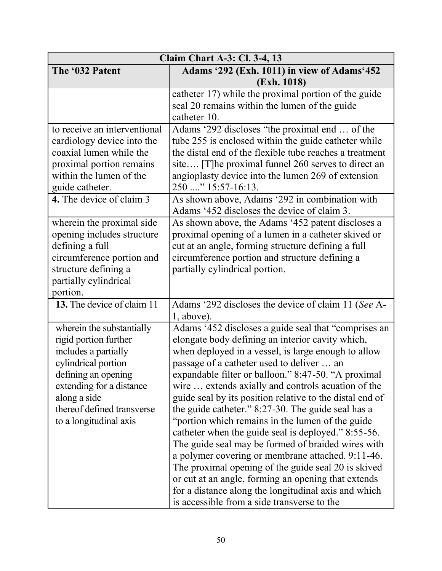| <b>Claim Chart A-3: Cl. 3-4, 13</b> |                                                                   |
|-------------------------------------|-------------------------------------------------------------------|
| The '032 Patent                     | Adams '292 (Exh. 1011) in view of Adams'452                       |
|                                     | (Exh. 1018)                                                       |
|                                     | catheter 17) while the proximal portion of the guide              |
|                                     | seal 20 remains within the lumen of the guide                     |
|                                     | catheter 10.                                                      |
| to receive an interventional        | Adams '292 discloses "the proximal end  of the                    |
| cardiology device into the          | tube 255 is enclosed within the guide catheter while              |
| coaxial lumen while the             | the distal end of the flexible tube reaches a treatment           |
| proximal portion remains            | site [T] he proximal funnel 260 serves to direct an               |
| within the lumen of the             | angioplasty device into the lumen 269 of extension                |
| guide catheter.                     | 250 " 15:57-16:13.                                                |
| 4. The device of claim 3            | As shown above, Adams '292 in combination with                    |
|                                     | Adams '452 discloses the device of claim 3.                       |
| wherein the proximal side           | As shown above, the Adams '452 patent discloses a                 |
| opening includes structure          | proximal opening of a lumen in a catheter skived or               |
| defining a full                     | cut at an angle, forming structure defining a full                |
| circumference portion and           | circumference portion and structure defining a                    |
| structure defining a                | partially cylindrical portion.                                    |
| partially cylindrical               |                                                                   |
| portion.                            |                                                                   |
| 13. The device of claim 11          | Adams '292 discloses the device of claim 11 (See A-<br>1, above). |
| wherein the substantially           | Adams '452 discloses a guide seal that "comprises an              |
| rigid portion further               | elongate body defining an interior cavity which,                  |
| includes a partially                | when deployed in a vessel, is large enough to allow               |
| cylindrical portion                 | passage of a catheter used to deliver  an                         |
| defining an opening                 | expandable filter or balloon." 8:47-50. "A proximal               |
| extending for a distance            | wire  extends axially and controls acuation of the                |
| along a side                        | guide seal by its position relative to the distal end of          |
| thereof defined transverse          | the guide catheter." 8:27-30. The guide seal has a                |
| to a longitudinal axis              | "portion which remains in the lumen of the guide                  |
|                                     | catheter when the guide seal is deployed." 8:55-56.               |
|                                     | The guide seal may be formed of braided wires with                |
|                                     | a polymer covering or membrane attached. 9:11-46.                 |
|                                     | The proximal opening of the guide seal 20 is skived               |
|                                     | or cut at an angle, forming an opening that extends               |
|                                     | for a distance along the longitudinal axis and which              |
|                                     | is accessible from a side transverse to the                       |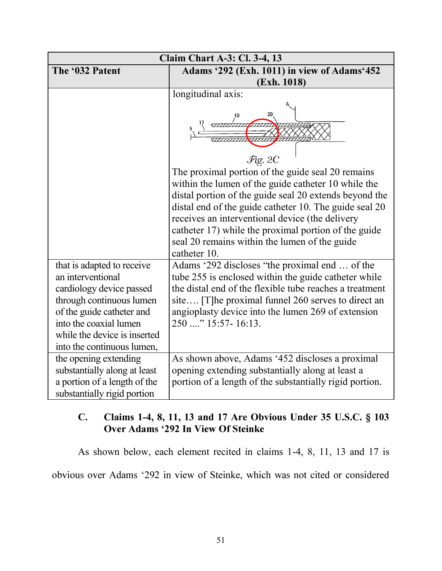| <b>Claim Chart A-3: Cl. 3-4, 13</b>                                                                                                                                                                                          |                                                                                                                                                                                                                                                                                                                                                                                                          |
|------------------------------------------------------------------------------------------------------------------------------------------------------------------------------------------------------------------------------|----------------------------------------------------------------------------------------------------------------------------------------------------------------------------------------------------------------------------------------------------------------------------------------------------------------------------------------------------------------------------------------------------------|
| The '032 Patent                                                                                                                                                                                                              | Adams '292 (Exh. 1011) in view of Adams'452                                                                                                                                                                                                                                                                                                                                                              |
|                                                                                                                                                                                                                              | (Exh. 1018)                                                                                                                                                                                                                                                                                                                                                                                              |
|                                                                                                                                                                                                                              | longitudinal axis:                                                                                                                                                                                                                                                                                                                                                                                       |
|                                                                                                                                                                                                                              |                                                                                                                                                                                                                                                                                                                                                                                                          |
|                                                                                                                                                                                                                              | 20                                                                                                                                                                                                                                                                                                                                                                                                       |
|                                                                                                                                                                                                                              | $\mathcal{F}$ ig. 2C                                                                                                                                                                                                                                                                                                                                                                                     |
|                                                                                                                                                                                                                              | The proximal portion of the guide seal 20 remains<br>within the lumen of the guide catheter 10 while the<br>distal portion of the guide seal 20 extends beyond the<br>distal end of the guide catheter 10. The guide seal 20<br>receives an interventional device (the delivery<br>catheter 17) while the proximal portion of the guide<br>seal 20 remains within the lumen of the guide<br>catheter 10. |
| that is adapted to receive<br>an interventional<br>cardiology device passed<br>through continuous lumen<br>of the guide catheter and<br>into the coaxial lumen<br>while the device is inserted<br>into the continuous lumen, | Adams '292 discloses "the proximal end  of the<br>tube 255 is enclosed within the guide catheter while<br>the distal end of the flexible tube reaches a treatment<br>site [T] he proximal funnel 260 serves to direct an<br>angioplasty device into the lumen 269 of extension<br>250 " 15:57-16:13.                                                                                                     |
| the opening extending<br>substantially along at least<br>a portion of a length of the<br>substantially rigid portion                                                                                                         | As shown above, Adams '452 discloses a proximal<br>opening extending substantially along at least a<br>portion of a length of the substantially rigid portion.                                                                                                                                                                                                                                           |

# 1& **Claims 1-4, 8, 11, 13 and 17 Are Obvious Under 35 U.S.C. § 103** Over Adams '292 In View Of Steinke

As shown below, each element recited in claims 1-4, 8, 11, 13 and 17 is

obvious over Adams '292 in view of Steinke, which was not cited or considered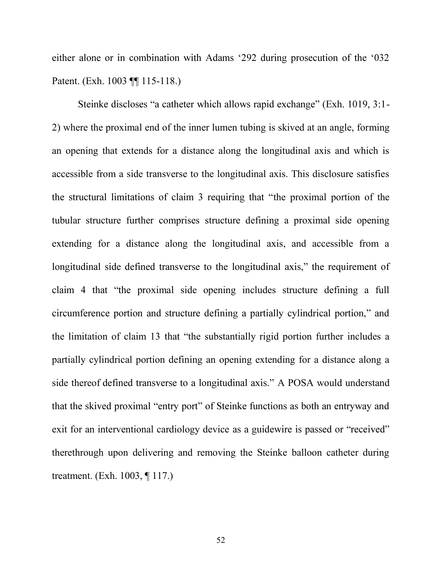either alone or in combination with Adams '292 during prosecution of the '032 Patent. (Exh. 1003 ¶¶ 115-118.)

Steinke discloses "a catheter which allows rapid exchange" (Exh. 1019,  $3:1$  -2) where the proximal end of the inner lumen tubing is skived at an angle, forming an opening that extends for a distance along the longitudinal axis and which is accessible from a side transverse to the longitudinal axis. This disclosure satisfies the structural limitations of claim 3 requiring that "the proximal portion of the tubular structure further comprises structure defining a proximal side opening extending for a distance along the longitudinal axis, and accessible from a  $\Omega$  longitudinal side defined transverse to the longitudinal axis," the requirement of claim 4 that "the proximal side opening includes structure defining a full circumference portion and structure defining a partially cylindrical portion," and the limitation of claim 13 that "the substantially rigid portion further includes a partially cylindrical portion defining an opening extending for a distance along a side thereof defined transverse to a longitudinal axis." A POSA would understand that the skived proximal "entry port" of Steinke functions as both an entryway and exit for an interventional cardiology device as a guidewire is passed or "received" therethrough upon delivering and removing the Steinke balloon catheter during treatment. (Exh. 1003, ¶ 117.)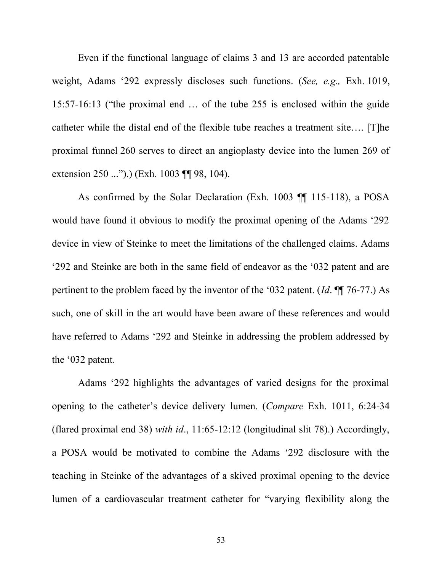Even if the functional language of claims 3 and 13 are accorded patentable weight, Adams '292 expressly discloses such functions. (*See, e.g.,* Exh. 1019, 15:57-16:13 ("the proximal end  $\ldots$  of the tube 255 is enclosed within the guide catheter while the distal end of the flexible tube reaches a treatment site.... [T]he proximal funnel 260 serves to direct an angioplasty device into the lumen 269 of extension  $250$  ...").) (Exh. 1003 ¶¶ 98, 104).

As confirmed by the Solar Declaration (Exh. 1003 ¶¶ 115-118), a POSA would have found it obvious to modify the proximal opening of the Adams  $292$ device in view of Steinke to meet the limitations of the challenged claims. Adams '292 and Steinke are both in the same field of endeavor as the '032 patent and are pertinent to the problem faced by the inventor of the '032 patent.  $(Id. \P\P 76-77)$  As such, one of skill in the art would have been aware of these references and would have referred to Adams '292 and Steinke in addressing the problem addressed by the  $\cdot$ 032 patent.

Adams '292 highlights the advantages of varied designs for the proximal opening to the catheter's device delivery lumen. (*Compare* Exh. 1011, 6:24-34 (flared proximal end 38) *with id*., 11:65-12:12 (longitudinal slit 78).) Accordingly, a POSA would be motivated to combine the Adams '292 disclosure with the teaching in Steinke of the advantages of a skived proximal opening to the device lumen of a cardiovascular treatment catheter for "varying flexibility along the

53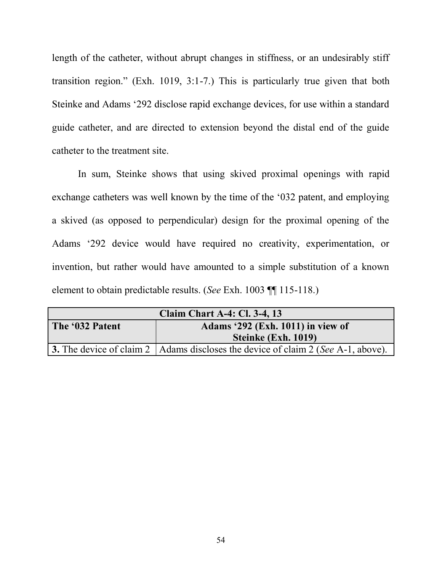length of the catheter, without abrupt changes in stiffness, or an undesirably stiff transition region." (Exh. 1019, 3:1-7.) This is particularly true given that both Steinke and Adams '292 disclose rapid exchange devices, for use within a standard guide catheter, and are directed to extension beyond the distal end of the guide catheter to the treatment site.

In sum, Steinke shows that using skived proximal openings with rapid exchange catheters was well known by the time of the '032 patent, and employing a skived (as opposed to perpendicular) design for the proximal opening of the Adams '292 device would have required no creativity, experimentation, or invention, but rather would have amounted to a simple substitution of a known element to obtain predictable results. (*See* Exh. 1003 ¶¶ 115-118.)

| <b>Claim Chart A-4: Cl. 3-4, 13</b> |                                                                                    |
|-------------------------------------|------------------------------------------------------------------------------------|
| The '032 Patent                     | Adams '292 (Exh. 1011) in view of                                                  |
|                                     | Steinke (Exh. 1019)                                                                |
|                                     | 3. The device of claim 2   Adams discloses the device of claim 2 (See A-1, above). |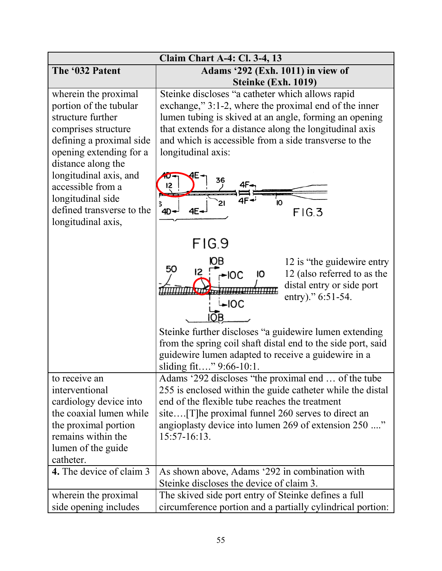| <b>Claim Chart A-4: Cl. 3-4, 13</b>                                                                                                                                                                                                                                                            |                                                                                                                                                                                                                                                                                                                                                                                            |
|------------------------------------------------------------------------------------------------------------------------------------------------------------------------------------------------------------------------------------------------------------------------------------------------|--------------------------------------------------------------------------------------------------------------------------------------------------------------------------------------------------------------------------------------------------------------------------------------------------------------------------------------------------------------------------------------------|
| The '032 Patent                                                                                                                                                                                                                                                                                | Adams '292 (Exh. 1011) in view of<br>Steinke (Exh. 1019)                                                                                                                                                                                                                                                                                                                                   |
| wherein the proximal<br>portion of the tubular<br>structure further<br>comprises structure<br>defining a proximal side<br>opening extending for a<br>distance along the<br>longitudinal axis, and<br>accessible from a<br>longitudinal side<br>defined transverse to the<br>longitudinal axis, | Steinke discloses "a catheter which allows rapid<br>exchange," 3:1-2, where the proximal end of the inner<br>lumen tubing is skived at an angle, forming an opening<br>that extends for a distance along the longitudinal axis<br>and which is accessible from a side transverse to the<br>longitudinal axis:<br>36<br>4F.<br>12<br>21<br>10<br>$4D -$<br>$4E -$<br>FIG.3                  |
|                                                                                                                                                                                                                                                                                                | FIG.9<br>12 is "the guidewire entry"<br>50<br>12 (also referred to as the<br>$-IOC$<br>IО<br>distal entry or side port<br>entry)." $6:51-54$ .<br>$\overline{\phantom{1}}$ loc<br>Steinke further discloses "a guidewire lumen extending<br>from the spring coil shaft distal end to the side port, said<br>guidewire lumen adapted to receive a guidewire in a<br>sliding fit" 9:66-10:1. |
| to receive an<br>interventional<br>cardiology device into<br>the coaxial lumen while<br>the proximal portion<br>remains within the<br>lumen of the guide<br>catheter.<br>4. The device of claim 3                                                                                              | Adams '292 discloses "the proximal end  of the tube<br>255 is enclosed within the guide catheter while the distal<br>end of the flexible tube reaches the treatment<br>angioplasty device into lumen 269 of extension 250 "<br>$15:57-16:13.$<br>As shown above, Adams '292 in combination with                                                                                            |
| wherein the proximal<br>side opening includes                                                                                                                                                                                                                                                  | Steinke discloses the device of claim 3.<br>The skived side port entry of Steinke defines a full<br>circumference portion and a partially cylindrical portion:                                                                                                                                                                                                                             |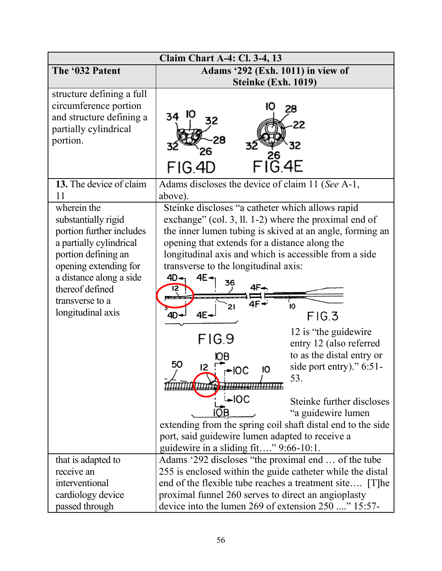|                                                                                                                                                                                                                                 | <b>Claim Chart A-4: Cl. 3-4, 13</b>                                                                                                                                                                                                                                                                                                                                                                                                                                                                                                                                                                      |
|---------------------------------------------------------------------------------------------------------------------------------------------------------------------------------------------------------------------------------|----------------------------------------------------------------------------------------------------------------------------------------------------------------------------------------------------------------------------------------------------------------------------------------------------------------------------------------------------------------------------------------------------------------------------------------------------------------------------------------------------------------------------------------------------------------------------------------------------------|
| The '032 Patent                                                                                                                                                                                                                 | Adams '292 (Exh. 1011) in view of                                                                                                                                                                                                                                                                                                                                                                                                                                                                                                                                                                        |
|                                                                                                                                                                                                                                 | Steinke (Exh. 1019)                                                                                                                                                                                                                                                                                                                                                                                                                                                                                                                                                                                      |
| structure defining a full<br>circumference portion<br>and structure defining a<br>partially cylindrical<br>portion.                                                                                                             | 28<br>32<br>$FI\overset{26}{\text{G}}$ .4E<br>FIG.4D                                                                                                                                                                                                                                                                                                                                                                                                                                                                                                                                                     |
| 13. The device of claim<br>11                                                                                                                                                                                                   | Adams discloses the device of claim 11 (See A-1,<br>above).                                                                                                                                                                                                                                                                                                                                                                                                                                                                                                                                              |
| wherein the<br>substantially rigid<br>portion further includes<br>a partially cylindrical<br>portion defining an<br>opening extending for<br>a distance along a side<br>thereof defined<br>transverse to a<br>longitudinal axis | Steinke discloses "a catheter which allows rapid<br>exchange" (col. 3, ll. 1-2) where the proximal end of<br>the inner lumen tubing is skived at an angle, forming an<br>opening that extends for a distance along the<br>longitudinal axis and which is accessible from a side<br>transverse to the longitudinal axis:<br>4E<br>4D.<br>36<br>Ю<br>FIG.3<br>4D<br>12 is "the guidewire"<br>FIG.9<br>entry 12 (also referred<br>to as the distal entry or<br>50<br>side port entry)." $6:51$ -<br>12 「<br>10<br>53.<br>7111 <b>11111644 - 111111111111111111111</b><br>i⊷lOC<br>Steinke further discloses |
|                                                                                                                                                                                                                                 | "a guidewire lumen                                                                                                                                                                                                                                                                                                                                                                                                                                                                                                                                                                                       |
|                                                                                                                                                                                                                                 | extending from the spring coil shaft distal end to the side<br>port, said guidewire lumen adapted to receive a<br>guidewire in a sliding fit" 9:66-10:1.                                                                                                                                                                                                                                                                                                                                                                                                                                                 |
| that is adapted to                                                                                                                                                                                                              | Adams '292 discloses "the proximal end  of the tube                                                                                                                                                                                                                                                                                                                                                                                                                                                                                                                                                      |
| receive an                                                                                                                                                                                                                      | 255 is enclosed within the guide catheter while the distal                                                                                                                                                                                                                                                                                                                                                                                                                                                                                                                                               |
| interventional                                                                                                                                                                                                                  | end of the flexible tube reaches a treatment site [T]he                                                                                                                                                                                                                                                                                                                                                                                                                                                                                                                                                  |
| cardiology device                                                                                                                                                                                                               | proximal funnel 260 serves to direct an angioplasty                                                                                                                                                                                                                                                                                                                                                                                                                                                                                                                                                      |
| passed through                                                                                                                                                                                                                  | device into the lumen 269 of extension 250 " 15:57-                                                                                                                                                                                                                                                                                                                                                                                                                                                                                                                                                      |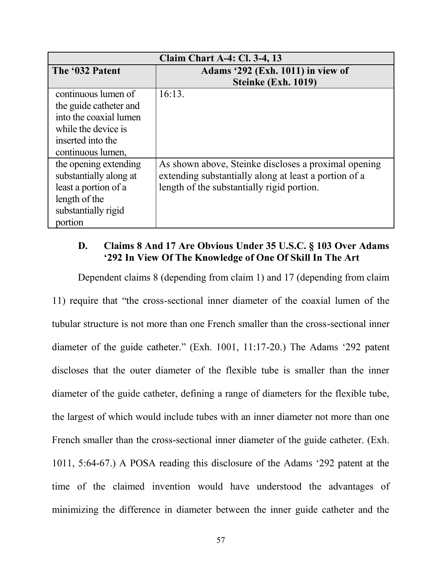| <b>Claim Chart A-4: Cl. 3-4, 13</b>                                                                                                      |                                                                                                                                                             |
|------------------------------------------------------------------------------------------------------------------------------------------|-------------------------------------------------------------------------------------------------------------------------------------------------------------|
| The '032 Patent                                                                                                                          | Adams '292 (Exh. 1011) in view of<br>Steinke (Exh. 1019)                                                                                                    |
| continuous lumen of<br>the guide catheter and<br>into the coaxial lumen<br>while the device is<br>inserted into the<br>continuous lumen, | 16:13.                                                                                                                                                      |
| the opening extending<br>substantially along at<br>least a portion of a<br>length of the<br>substantially rigid<br>portion               | As shown above, Steinke discloses a proximal opening<br>extending substantially along at least a portion of a<br>length of the substantially rigid portion. |

# 2& **Claims 8 And 17 Are Obvious Under 35 U.S.C. § 103 Over Adams** '292 In View Of The Knowledge of One Of Skill In The Art

Dependent claims 8 (depending from claim 1) and 17 (depending from claim

11) require that "the cross-sectional inner diameter of the coaxial lumen of the tubular structure is not more than one French smaller than the cross-sectional inner diameter of the guide catheter." (Exh. 1001, 11:17-20.) The Adams '292 patent discloses that the outer diameter of the flexible tube is smaller than the inner diameter of the guide catheter, defining a range of diameters for the flexible tube, the largest of which would include tubes with an inner diameter not more than one French smaller than the cross-sectional inner diameter of the guide catheter. (Exh. 1011, 5:64-67.) A POSA reading this disclosure of the Adams  $292$  patent at the time of the claimed invention would have understood the advantages of minimizing the difference in diameter between the inner guide catheter and the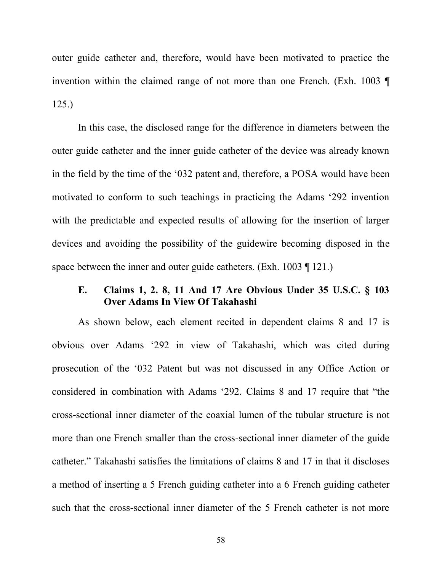outer guide catheter and, therefore, would have been motivated to practice the invention within the claimed range of not more than one French. (Exh. 1003 ¶ 125.)

In this case, the disclosed range for the difference in diameters between the outer guide catheter and the inner guide catheter of the device was already known in the field by the time of the  $032$  patent and, therefore, a POSA would have been motivated to conform to such teachings in practicing the Adams '292 invention with the predictable and expected results of allowing for the insertion of larger devices and avoiding the possibility of the guidewire becoming disposed in the space between the inner and outer guide catheters. (Exh. 1003 ¶ 121.)

## 3& **Claims 1, 2. 8, 11 And 17 Are Obvious Under 35 U.S.C. § 103 Over Adams In View Of Takahashi**

As shown below, each element recited in dependent claims 8 and 17 is obvious over Adams '292 in view of Takahashi, which was cited during prosecution of the '032 Patent but was not discussed in any Office Action or considered in combination with Adams '292. Claims 8 and 17 require that "the cross-sectional inner diameter of the coaxial lumen of the tubular structure is not more than one French smaller than the cross-sectional inner diameter of the guide catheter." Takahashi satisfies the limitations of claims 8 and 17 in that it discloses a method of inserting a 5 French guiding catheter into a 6 French guiding catheter such that the cross-sectional inner diameter of the 5 French catheter is not more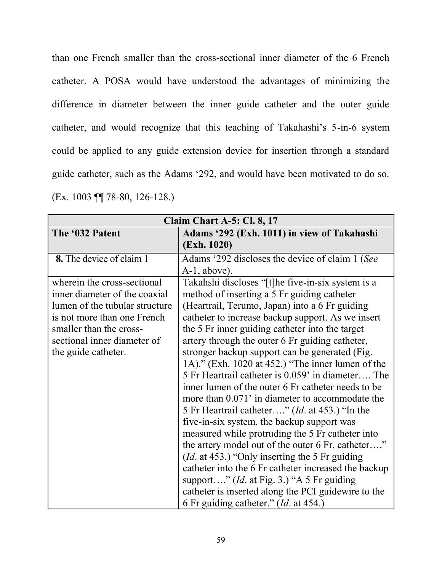than one French smaller than the cross-sectional inner diameter of the 6 French catheter. A POSA would have understood the advantages of minimizing the difference in diameter between the inner guide catheter and the outer guide catheter, and would recognize that this teaching of Takahashi's 5-in-6 system could be applied to any guide extension device for insertion through a standard guide catheter, such as the Adams '292, and would have been motivated to do so. (Ex. 1003 ¶¶ 78-80, 126-128.)

| Claim Chart A-5: Cl. 8, 17                                                                                                                                                                                     |                                                                                                                                                                                                                                                                                                                                                                                                                                                                                                                                                                                                                                                                                                                                                                                                                                                                                                                                                                                                                                                                            |
|----------------------------------------------------------------------------------------------------------------------------------------------------------------------------------------------------------------|----------------------------------------------------------------------------------------------------------------------------------------------------------------------------------------------------------------------------------------------------------------------------------------------------------------------------------------------------------------------------------------------------------------------------------------------------------------------------------------------------------------------------------------------------------------------------------------------------------------------------------------------------------------------------------------------------------------------------------------------------------------------------------------------------------------------------------------------------------------------------------------------------------------------------------------------------------------------------------------------------------------------------------------------------------------------------|
| The '032 Patent                                                                                                                                                                                                | Adams '292 (Exh. 1011) in view of Takahashi<br>(Exh. 1020)                                                                                                                                                                                                                                                                                                                                                                                                                                                                                                                                                                                                                                                                                                                                                                                                                                                                                                                                                                                                                 |
| 8. The device of claim 1                                                                                                                                                                                       | Adams '292 discloses the device of claim 1 (See<br>$A-1$ , above).                                                                                                                                                                                                                                                                                                                                                                                                                                                                                                                                                                                                                                                                                                                                                                                                                                                                                                                                                                                                         |
| wherein the cross-sectional<br>inner diameter of the coaxial<br>lumen of the tubular structure<br>is not more than one French<br>smaller than the cross-<br>sectional inner diameter of<br>the guide catheter. | Takahshi discloses "[t]he five-in-six system is a<br>method of inserting a 5 Fr guiding catheter<br>(Heartrail, Terumo, Japan) into a 6 Fr guiding<br>catheter to increase backup support. As we insert<br>the 5 Fr inner guiding catheter into the target<br>artery through the outer 6 Fr guiding catheter,<br>stronger backup support can be generated (Fig.<br>1A)." (Exh. 1020 at 452.) "The inner lumen of the<br>5 Fr Heartrail catheter is 0.059' in diameter The<br>inner lumen of the outer 6 Fr catheter needs to be<br>more than 0.071' in diameter to accommodate the<br>5 Fr Heartrail catheter" ( <i>Id.</i> at 453.) "In the<br>five-in-six system, the backup support was<br>measured while protruding the 5 Fr catheter into<br>the artery model out of the outer 6 Fr. catheter"<br>( <i>Id.</i> at 453.) "Only inserting the 5 Fr guiding<br>catheter into the 6 Fr catheter increased the backup<br>support" ( <i>Id.</i> at Fig. 3.) "A 5 Fr guiding<br>catheter is inserted along the PCI guidewire to the<br>6 Fr guiding catheter." (Id. at 454.) |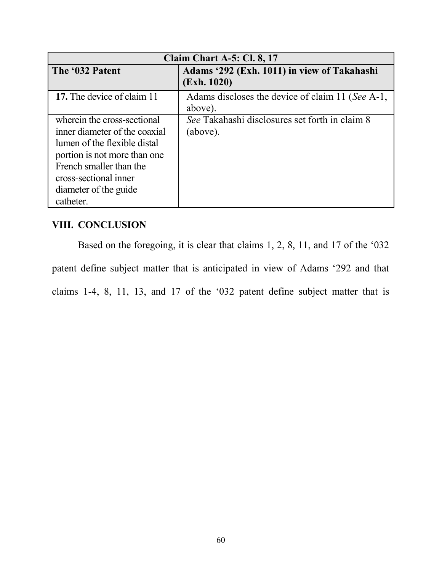| <b>Claim Chart A-5: Cl. 8, 17</b>                                                                                                                                                                                      |                                                             |  |
|------------------------------------------------------------------------------------------------------------------------------------------------------------------------------------------------------------------------|-------------------------------------------------------------|--|
| The '032 Patent                                                                                                                                                                                                        | Adams '292 (Exh. 1011) in view of Takahashi<br>(Exh. 1020)  |  |
| 17. The device of claim 11                                                                                                                                                                                             | Adams discloses the device of claim 11 (See A-1,<br>above). |  |
| wherein the cross-sectional<br>inner diameter of the coaxial<br>lumen of the flexible distal<br>portion is not more than one<br>French smaller than the<br>cross-sectional inner<br>diameter of the guide<br>catheter. | See Takahashi disclosures set forth in claim 8<br>(above).  |  |

# **VIII. CONCLUSION**

Based on the foregoing, it is clear that claims  $1, 2, 8, 11$ , and  $17$  of the '032 patent define subject matter that is anticipated in view of Adams '292 and that claims 1-4, 8, 11, 13, and 17 of the '032 patent define subject matter that is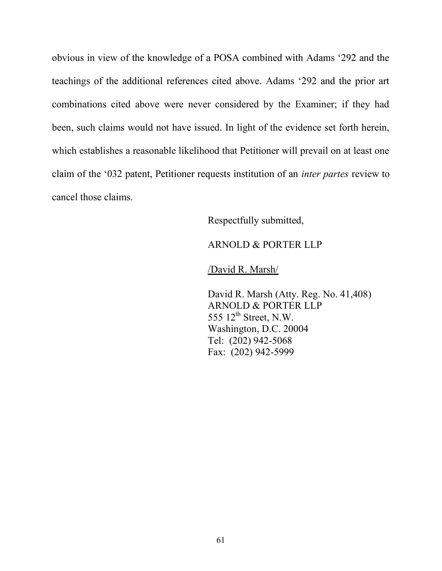obvious in view of the knowledge of a POSA combined with Adams '292 and the teachings of the additional references cited above. Adams  $292$  and the prior art combinations cited above were never considered by the Examiner; if they had been, such claims would not have issued. In light of the evidence set forth herein, which establishes a reasonable likelihood that Petitioner will prevail on at least one claim of the '032 patent, Petitioner requests institution of an *inter partes* review to cancel those claims.

Respectfully submitted,

#### ARNOLD & PORTER LLP

/David R. Marsh/

David R. Marsh (Atty. Reg. No. 41,408) ARNOLD & PORTER LLP 555  $12^{th}$  Street, N.W. Washington, D.C. 20004 Tel: (202) 942-5068 Fax: (202) 942-5999